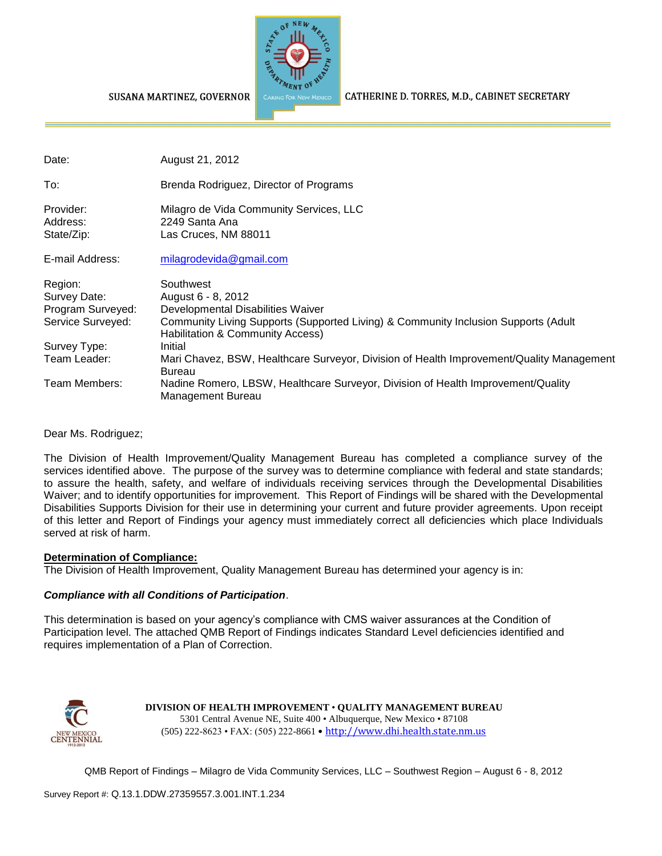

CATHERINE D. TORRES, M.D., CABINET SECRETARY

SUSANA MARTINEZ, GOVERNOR

| Date:                                                             | August 21, 2012                                                                                                                                                                                |
|-------------------------------------------------------------------|------------------------------------------------------------------------------------------------------------------------------------------------------------------------------------------------|
| To:                                                               | Brenda Rodriguez, Director of Programs                                                                                                                                                         |
| Provider:<br>Address:<br>State/Zip:                               | Milagro de Vida Community Services, LLC<br>2249 Santa Ana<br>Las Cruces, NM 88011                                                                                                              |
| E-mail Address:                                                   | milagrodevida@gmail.com                                                                                                                                                                        |
| Region:<br>Survey Date:<br>Program Surveyed:<br>Service Surveyed: | Southwest<br>August 6 - 8, 2012<br>Developmental Disabilities Waiver<br>Community Living Supports (Supported Living) & Community Inclusion Supports (Adult<br>Habilitation & Community Access) |
| Survey Type:                                                      | Initial                                                                                                                                                                                        |
| Team Leader:                                                      | Mari Chavez, BSW, Healthcare Surveyor, Division of Health Improvement/Quality Management<br>Bureau                                                                                             |
| Team Members:                                                     | Nadine Romero, LBSW, Healthcare Surveyor, Division of Health Improvement/Quality<br>Management Bureau                                                                                          |

Dear Ms. Rodriguez;

The Division of Health Improvement/Quality Management Bureau has completed a compliance survey of the services identified above. The purpose of the survey was to determine compliance with federal and state standards; to assure the health, safety, and welfare of individuals receiving services through the Developmental Disabilities Waiver; and to identify opportunities for improvement. This Report of Findings will be shared with the Developmental Disabilities Supports Division for their use in determining your current and future provider agreements. Upon receipt of this letter and Report of Findings your agency must immediately correct all deficiencies which place Individuals served at risk of harm.

#### **Determination of Compliance:**

The Division of Health Improvement, Quality Management Bureau has determined your agency is in:

### *Compliance with all Conditions of Participation*.

This determination is based on your agency's compliance with CMS waiver assurances at the Condition of Participation level. The attached QMB Report of Findings indicates Standard Level deficiencies identified and requires implementation of a Plan of Correction.



**DIVISION OF HEALTH IMPROVEMENT** • **QUALITY MANAGEMENT BUREAU** 5301 Central Avenue NE, Suite 400 • Albuquerque, New Mexico • 87108 (505) 222-8623 • FAX: (505) 222-8661 • http://www.dhi.health.state.nm.us

QMB Report of Findings – Milagro de Vida Community Services, LLC – Southwest Region – August 6 - 8, 2012

Survey Report #: Q.13.1.DDW.27359557.3.001.INT.1.234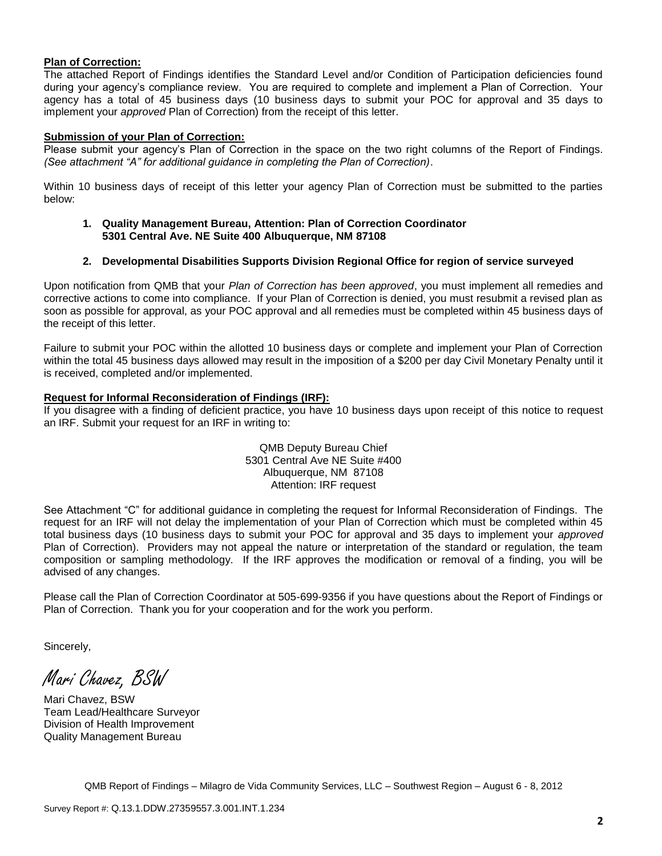#### **Plan of Correction:**

The attached Report of Findings identifies the Standard Level and/or Condition of Participation deficiencies found during your agency's compliance review. You are required to complete and implement a Plan of Correction. Your agency has a total of 45 business days (10 business days to submit your POC for approval and 35 days to implement your *approved* Plan of Correction) from the receipt of this letter.

#### **Submission of your Plan of Correction:**

Please submit your agency's Plan of Correction in the space on the two right columns of the Report of Findings. *(See attachment "A" for additional guidance in completing the Plan of Correction)*.

Within 10 business days of receipt of this letter your agency Plan of Correction must be submitted to the parties below:

#### **1. Quality Management Bureau, Attention: Plan of Correction Coordinator 5301 Central Ave. NE Suite 400 Albuquerque, NM 87108**

#### **2. Developmental Disabilities Supports Division Regional Office for region of service surveyed**

Upon notification from QMB that your *Plan of Correction has been approved*, you must implement all remedies and corrective actions to come into compliance. If your Plan of Correction is denied, you must resubmit a revised plan as soon as possible for approval, as your POC approval and all remedies must be completed within 45 business days of the receipt of this letter.

Failure to submit your POC within the allotted 10 business days or complete and implement your Plan of Correction within the total 45 business days allowed may result in the imposition of a \$200 per day Civil Monetary Penalty until it is received, completed and/or implemented.

#### **Request for Informal Reconsideration of Findings (IRF):**

If you disagree with a finding of deficient practice, you have 10 business days upon receipt of this notice to request an IRF. Submit your request for an IRF in writing to:

> QMB Deputy Bureau Chief 5301 Central Ave NE Suite #400 Albuquerque, NM 87108 Attention: IRF request

See Attachment "C" for additional guidance in completing the request for Informal Reconsideration of Findings. The request for an IRF will not delay the implementation of your Plan of Correction which must be completed within 45 total business days (10 business days to submit your POC for approval and 35 days to implement your *approved* Plan of Correction). Providers may not appeal the nature or interpretation of the standard or regulation, the team composition or sampling methodology. If the IRF approves the modification or removal of a finding, you will be advised of any changes.

Please call the Plan of Correction Coordinator at 505-699-9356 if you have questions about the Report of Findings or Plan of Correction. Thank you for your cooperation and for the work you perform.

Sincerely,

Mari Chavez, BSW

Mari Chavez, BSW Team Lead/Healthcare Surveyor Division of Health Improvement Quality Management Bureau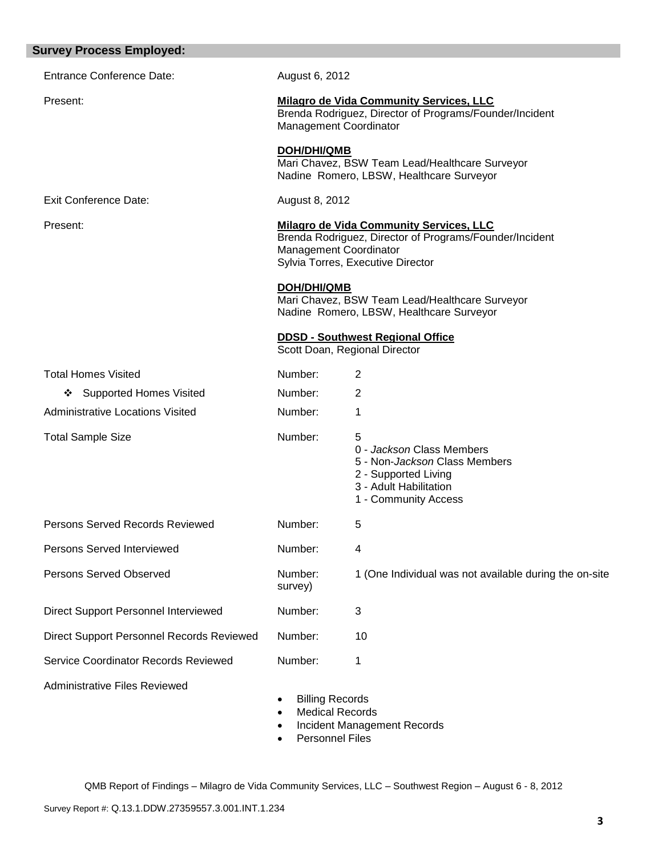| <b>Survey Process Employed:</b>                  |                                                                                                                                            |                                                                                                                                                                                 |
|--------------------------------------------------|--------------------------------------------------------------------------------------------------------------------------------------------|---------------------------------------------------------------------------------------------------------------------------------------------------------------------------------|
| <b>Entrance Conference Date:</b>                 | August 6, 2012                                                                                                                             |                                                                                                                                                                                 |
| Present:                                         | <b>Milagro de Vida Community Services, LLC</b><br>Brenda Rodriguez, Director of Programs/Founder/Incident<br><b>Management Coordinator</b> |                                                                                                                                                                                 |
|                                                  | <b>DOH/DHI/QMB</b>                                                                                                                         | Mari Chavez, BSW Team Lead/Healthcare Surveyor<br>Nadine Romero, LBSW, Healthcare Surveyor                                                                                      |
| <b>Exit Conference Date:</b>                     | August 8, 2012                                                                                                                             |                                                                                                                                                                                 |
| Present:                                         |                                                                                                                                            | <b>Milagro de Vida Community Services, LLC</b><br>Brenda Rodriguez, Director of Programs/Founder/Incident<br><b>Management Coordinator</b><br>Sylvia Torres, Executive Director |
|                                                  | <b>DOH/DHI/QMB</b>                                                                                                                         | Mari Chavez, BSW Team Lead/Healthcare Surveyor<br>Nadine Romero, LBSW, Healthcare Surveyor                                                                                      |
|                                                  |                                                                                                                                            | <b>DDSD - Southwest Regional Office</b><br>Scott Doan, Regional Director                                                                                                        |
| <b>Total Homes Visited</b>                       | Number:                                                                                                                                    | 2                                                                                                                                                                               |
| <b>Supported Homes Visited</b><br>❖              | Number:                                                                                                                                    | 2                                                                                                                                                                               |
| <b>Administrative Locations Visited</b>          | Number:                                                                                                                                    | 1                                                                                                                                                                               |
| <b>Total Sample Size</b>                         | Number:                                                                                                                                    | 5<br>0 - Jackson Class Members<br>5 - Non- <i>Jackson</i> Class Members<br>2 - Supported Living<br>3 - Adult Habilitation<br>1 - Community Access                               |
| <b>Persons Served Records Reviewed</b>           | Number:                                                                                                                                    | 5                                                                                                                                                                               |
| Persons Served Interviewed                       | Number:                                                                                                                                    | 4                                                                                                                                                                               |
| <b>Persons Served Observed</b>                   | Number:<br>survey)                                                                                                                         | 1 (One Individual was not available during the on-site                                                                                                                          |
| Direct Support Personnel Interviewed             | Number:                                                                                                                                    | 3                                                                                                                                                                               |
| <b>Direct Support Personnel Records Reviewed</b> | Number:                                                                                                                                    | 10                                                                                                                                                                              |
| Service Coordinator Records Reviewed             | Number:                                                                                                                                    | 1                                                                                                                                                                               |
| <b>Administrative Files Reviewed</b>             | <b>Billing Records</b><br><b>Medical Records</b>                                                                                           | Incident Management Records                                                                                                                                                     |

• Personnel Files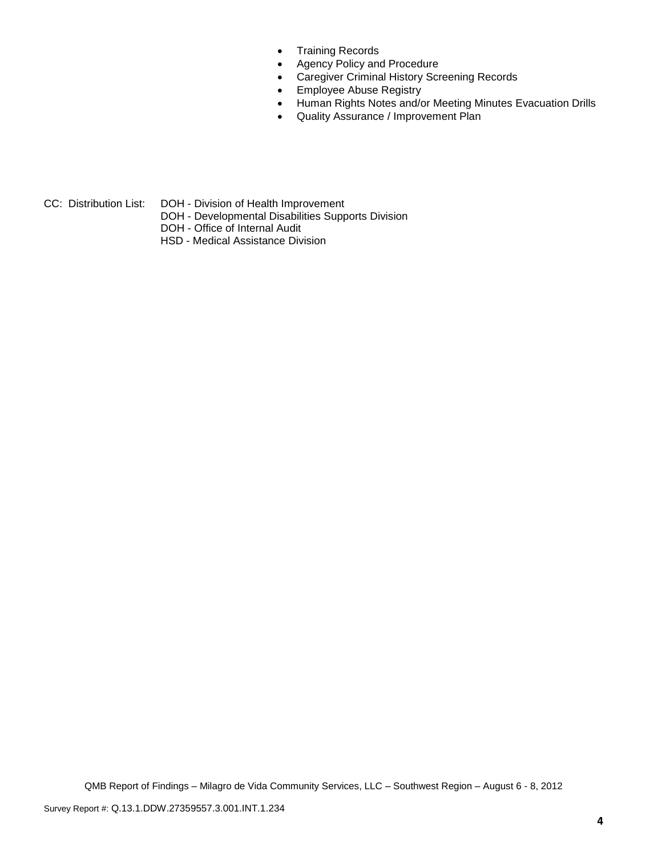- Training Records
- Agency Policy and Procedure
- Caregiver Criminal History Screening Records
- **Employee Abuse Registry**
- Human Rights Notes and/or Meeting Minutes Evacuation Drills
- Quality Assurance / Improvement Plan

CC: Distribution List: DOH - Division of Health Improvement

- DOH Developmental Disabilities Supports Division
- DOH Office of Internal Audit
- HSD Medical Assistance Division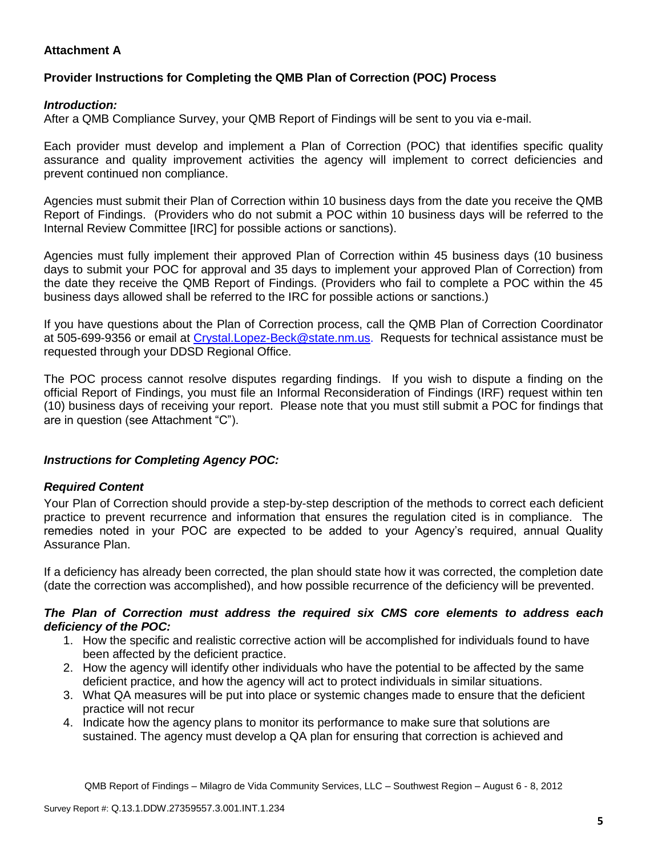## **Attachment A**

# **Provider Instructions for Completing the QMB Plan of Correction (POC) Process**

## *Introduction:*

After a QMB Compliance Survey, your QMB Report of Findings will be sent to you via e-mail.

Each provider must develop and implement a Plan of Correction (POC) that identifies specific quality assurance and quality improvement activities the agency will implement to correct deficiencies and prevent continued non compliance.

Agencies must submit their Plan of Correction within 10 business days from the date you receive the QMB Report of Findings. (Providers who do not submit a POC within 10 business days will be referred to the Internal Review Committee [IRC] for possible actions or sanctions).

Agencies must fully implement their approved Plan of Correction within 45 business days (10 business days to submit your POC for approval and 35 days to implement your approved Plan of Correction) from the date they receive the QMB Report of Findings. (Providers who fail to complete a POC within the 45 business days allowed shall be referred to the IRC for possible actions or sanctions.)

If you have questions about the Plan of Correction process, call the QMB Plan of Correction Coordinator at 505-699-9356 or email at Crystal.Lopez-Beck@state.nm.us. Requests for technical assistance must be requested through your DDSD Regional Office.

The POC process cannot resolve disputes regarding findings. If you wish to dispute a finding on the official Report of Findings, you must file an Informal Reconsideration of Findings (IRF) request within ten (10) business days of receiving your report. Please note that you must still submit a POC for findings that are in question (see Attachment "C").

## *Instructions for Completing Agency POC:*

## *Required Content*

Your Plan of Correction should provide a step-by-step description of the methods to correct each deficient practice to prevent recurrence and information that ensures the regulation cited is in compliance. The remedies noted in your POC are expected to be added to your Agency's required, annual Quality Assurance Plan.

If a deficiency has already been corrected, the plan should state how it was corrected, the completion date (date the correction was accomplished), and how possible recurrence of the deficiency will be prevented.

### *The Plan of Correction must address the required six CMS core elements to address each deficiency of the POC:*

- 1. How the specific and realistic corrective action will be accomplished for individuals found to have been affected by the deficient practice.
- 2. How the agency will identify other individuals who have the potential to be affected by the same deficient practice, and how the agency will act to protect individuals in similar situations.
- 3. What QA measures will be put into place or systemic changes made to ensure that the deficient practice will not recur
- 4. Indicate how the agency plans to monitor its performance to make sure that solutions are sustained. The agency must develop a QA plan for ensuring that correction is achieved and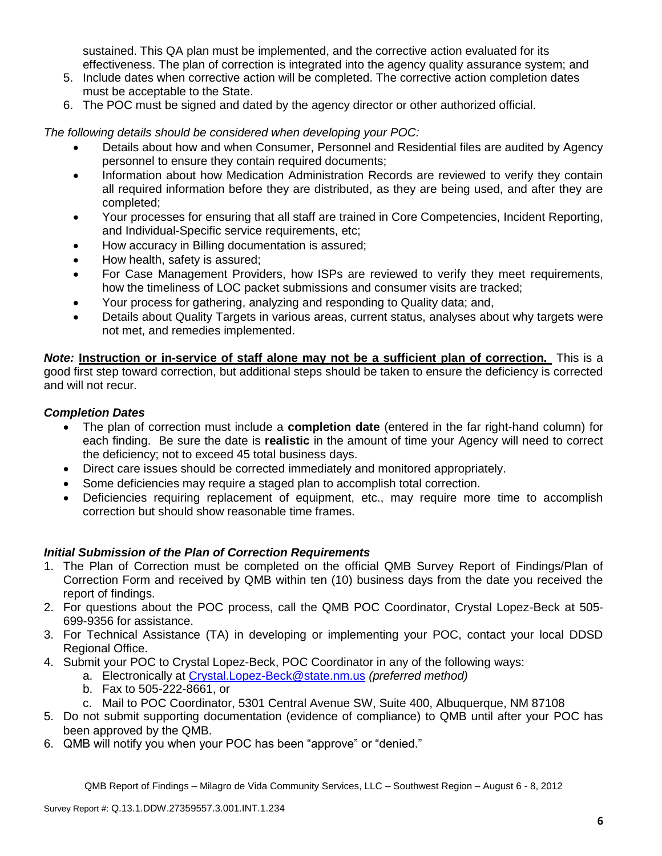sustained. This QA plan must be implemented, and the corrective action evaluated for its effectiveness. The plan of correction is integrated into the agency quality assurance system; and

- 5. Include dates when corrective action will be completed. The corrective action completion dates must be acceptable to the State.
- 6. The POC must be signed and dated by the agency director or other authorized official.

*The following details should be considered when developing your POC:*

- Details about how and when Consumer, Personnel and Residential files are audited by Agency personnel to ensure they contain required documents;
- Information about how Medication Administration Records are reviewed to verify they contain all required information before they are distributed, as they are being used, and after they are completed;
- Your processes for ensuring that all staff are trained in Core Competencies, Incident Reporting, and Individual-Specific service requirements, etc;
- How accuracy in Billing documentation is assured;
- How health, safety is assured;
- For Case Management Providers, how ISPs are reviewed to verify they meet requirements, how the timeliness of LOC packet submissions and consumer visits are tracked;
- Your process for gathering, analyzing and responding to Quality data; and,
- Details about Quality Targets in various areas, current status, analyses about why targets were not met, and remedies implemented.

*Note:* **Instruction or in-service of staff alone may not be a sufficient plan of correction.** This is a good first step toward correction, but additional steps should be taken to ensure the deficiency is corrected and will not recur.

## *Completion Dates*

- The plan of correction must include a **completion date** (entered in the far right-hand column) for each finding. Be sure the date is **realistic** in the amount of time your Agency will need to correct the deficiency; not to exceed 45 total business days.
- Direct care issues should be corrected immediately and monitored appropriately.
- Some deficiencies may require a staged plan to accomplish total correction.
- Deficiencies requiring replacement of equipment, etc., may require more time to accomplish correction but should show reasonable time frames.

## *Initial Submission of the Plan of Correction Requirements*

- 1. The Plan of Correction must be completed on the official QMB Survey Report of Findings/Plan of Correction Form and received by QMB within ten (10) business days from the date you received the report of findings.
- 2. For questions about the POC process, call the QMB POC Coordinator, Crystal Lopez-Beck at 505- 699-9356 for assistance.
- 3. For Technical Assistance (TA) in developing or implementing your POC, contact your local DDSD Regional Office.
- 4. Submit your POC to Crystal Lopez-Beck, POC Coordinator in any of the following ways:
	- a. Electronically at Crystal.Lopez-Beck@state.nm.us *(preferred method)*
	- b. Fax to 505-222-8661, or
	- c. Mail to POC Coordinator, 5301 Central Avenue SW, Suite 400, Albuquerque, NM 87108
- 5. Do not submit supporting documentation (evidence of compliance) to QMB until after your POC has been approved by the QMB.
- 6. QMB will notify you when your POC has been "approve" or "denied."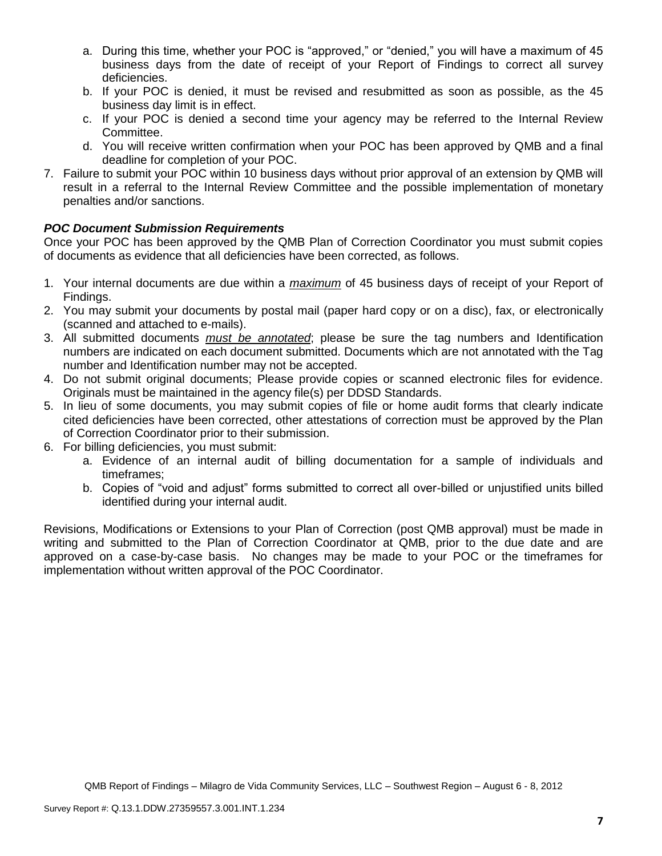- a. During this time, whether your POC is "approved," or "denied," you will have a maximum of 45 business days from the date of receipt of your Report of Findings to correct all survey deficiencies.
- b. If your POC is denied, it must be revised and resubmitted as soon as possible, as the 45 business day limit is in effect.
- c. If your POC is denied a second time your agency may be referred to the Internal Review Committee.
- d. You will receive written confirmation when your POC has been approved by QMB and a final deadline for completion of your POC.
- 7. Failure to submit your POC within 10 business days without prior approval of an extension by QMB will result in a referral to the Internal Review Committee and the possible implementation of monetary penalties and/or sanctions.

# *POC Document Submission Requirements*

Once your POC has been approved by the QMB Plan of Correction Coordinator you must submit copies of documents as evidence that all deficiencies have been corrected, as follows.

- 1. Your internal documents are due within a *maximum* of 45 business days of receipt of your Report of Findings.
- 2. You may submit your documents by postal mail (paper hard copy or on a disc), fax, or electronically (scanned and attached to e-mails).
- 3. All submitted documents *must be annotated*; please be sure the tag numbers and Identification numbers are indicated on each document submitted. Documents which are not annotated with the Tag number and Identification number may not be accepted.
- 4. Do not submit original documents; Please provide copies or scanned electronic files for evidence. Originals must be maintained in the agency file(s) per DDSD Standards.
- 5. In lieu of some documents, you may submit copies of file or home audit forms that clearly indicate cited deficiencies have been corrected, other attestations of correction must be approved by the Plan of Correction Coordinator prior to their submission.
- 6. For billing deficiencies, you must submit:
	- a. Evidence of an internal audit of billing documentation for a sample of individuals and timeframes;
	- b. Copies of "void and adjust" forms submitted to correct all over-billed or unjustified units billed identified during your internal audit.

Revisions, Modifications or Extensions to your Plan of Correction (post QMB approval) must be made in writing and submitted to the Plan of Correction Coordinator at QMB, prior to the due date and are approved on a case-by-case basis. No changes may be made to your POC or the timeframes for implementation without written approval of the POC Coordinator.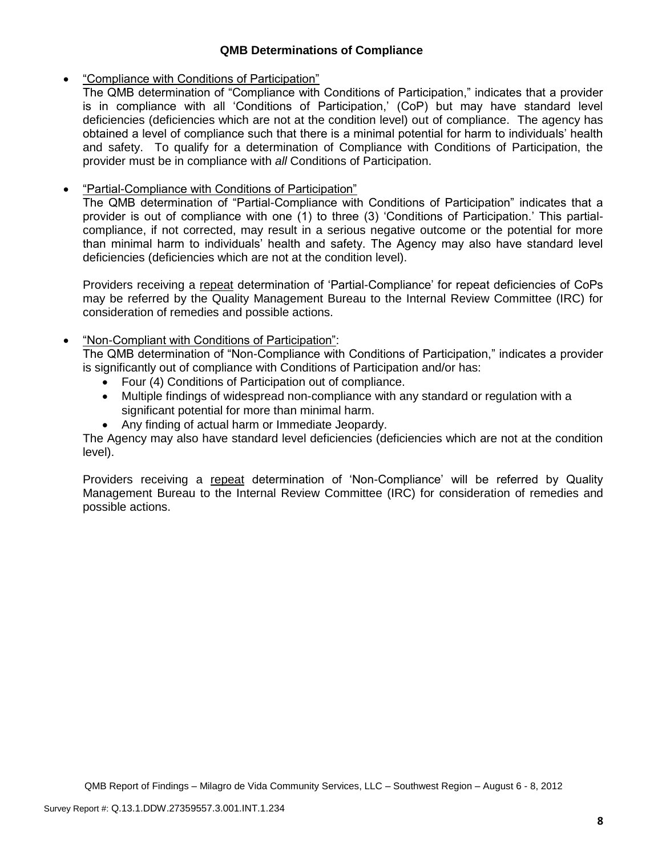## **QMB Determinations of Compliance**

## "Compliance with Conditions of Participation"

The QMB determination of "Compliance with Conditions of Participation," indicates that a provider is in compliance with all 'Conditions of Participation,' (CoP) but may have standard level deficiencies (deficiencies which are not at the condition level) out of compliance. The agency has obtained a level of compliance such that there is a minimal potential for harm to individuals' health and safety. To qualify for a determination of Compliance with Conditions of Participation, the provider must be in compliance with *all* Conditions of Participation.

## **•** "Partial-Compliance with Conditions of Participation"

The QMB determination of "Partial-Compliance with Conditions of Participation" indicates that a provider is out of compliance with one (1) to three (3) 'Conditions of Participation.' This partialcompliance, if not corrected, may result in a serious negative outcome or the potential for more than minimal harm to individuals' health and safety. The Agency may also have standard level deficiencies (deficiencies which are not at the condition level).

Providers receiving a repeat determination of 'Partial-Compliance' for repeat deficiencies of CoPs may be referred by the Quality Management Bureau to the Internal Review Committee (IRC) for consideration of remedies and possible actions.

## "Non-Compliant with Conditions of Participation":

The QMB determination of "Non-Compliance with Conditions of Participation," indicates a provider is significantly out of compliance with Conditions of Participation and/or has:

- Four (4) Conditions of Participation out of compliance.
- Multiple findings of widespread non-compliance with any standard or regulation with a significant potential for more than minimal harm.
- Any finding of actual harm or Immediate Jeopardy.

The Agency may also have standard level deficiencies (deficiencies which are not at the condition level).

Providers receiving a repeat determination of 'Non-Compliance' will be referred by Quality Management Bureau to the Internal Review Committee (IRC) for consideration of remedies and possible actions.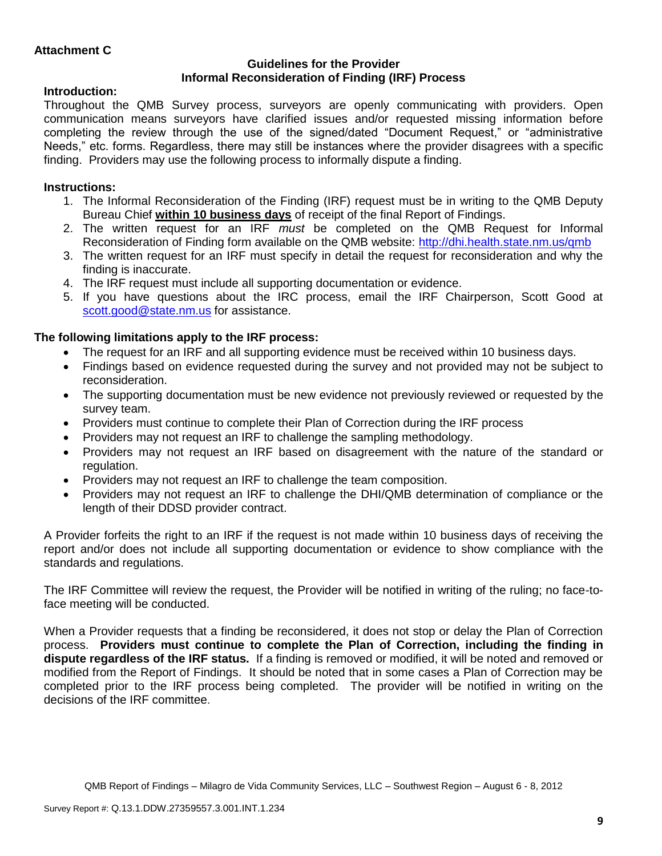## **Guidelines for the Provider Informal Reconsideration of Finding (IRF) Process**

# **Introduction:**

Throughout the QMB Survey process, surveyors are openly communicating with providers. Open communication means surveyors have clarified issues and/or requested missing information before completing the review through the use of the signed/dated "Document Request," or "administrative Needs," etc. forms. Regardless, there may still be instances where the provider disagrees with a specific finding. Providers may use the following process to informally dispute a finding.

# **Instructions:**

- 1. The Informal Reconsideration of the Finding (IRF) request must be in writing to the QMB Deputy Bureau Chief **within 10 business days** of receipt of the final Report of Findings.
- 2. The written request for an IRF *must* be completed on the QMB Request for Informal Reconsideration of Finding form available on the QMB website:<http://dhi.health.state.nm.us/qmb>
- 3. The written request for an IRF must specify in detail the request for reconsideration and why the finding is inaccurate.
- 4. The IRF request must include all supporting documentation or evidence.
- 5. If you have questions about the IRC process, email the IRF Chairperson, Scott Good at [scott.good@state.nm.us](mailto:scott.good@state.nm.us) for assistance.

# **The following limitations apply to the IRF process:**

- The request for an IRF and all supporting evidence must be received within 10 business days.
- Findings based on evidence requested during the survey and not provided may not be subject to reconsideration.
- The supporting documentation must be new evidence not previously reviewed or requested by the survey team.
- Providers must continue to complete their Plan of Correction during the IRF process
- Providers may not request an IRF to challenge the sampling methodology.
- Providers may not request an IRF based on disagreement with the nature of the standard or regulation.
- Providers may not request an IRF to challenge the team composition.
- Providers may not request an IRF to challenge the DHI/QMB determination of compliance or the length of their DDSD provider contract.

A Provider forfeits the right to an IRF if the request is not made within 10 business days of receiving the report and/or does not include all supporting documentation or evidence to show compliance with the standards and regulations.

The IRF Committee will review the request, the Provider will be notified in writing of the ruling; no face-toface meeting will be conducted.

When a Provider requests that a finding be reconsidered, it does not stop or delay the Plan of Correction process. **Providers must continue to complete the Plan of Correction, including the finding in dispute regardless of the IRF status.** If a finding is removed or modified, it will be noted and removed or modified from the Report of Findings. It should be noted that in some cases a Plan of Correction may be completed prior to the IRF process being completed. The provider will be notified in writing on the decisions of the IRF committee.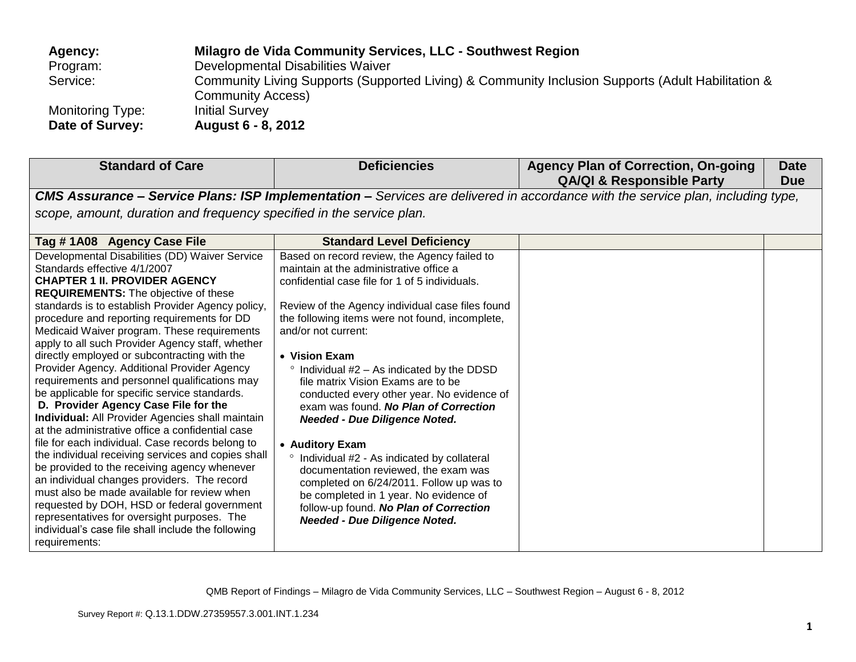| Agency:          | Milagro de Vida Community Services, LLC - Southwest Region                                        |
|------------------|---------------------------------------------------------------------------------------------------|
| Program:         | Developmental Disabilities Waiver                                                                 |
| Service:         | Community Living Supports (Supported Living) & Community Inclusion Supports (Adult Habilitation & |
|                  | <b>Community Access)</b>                                                                          |
| Monitoring Type: | <b>Initial Survey</b>                                                                             |
| Date of Survey:  | <b>August 6 - 8, 2012</b>                                                                         |

| <b>Standard of Care</b>                                                                                                                                                                                                                                                                                                                                                                                                                                                                                                                                                                                                                                                                                                                                                                                                                                                                                                                                                                                                                                                                                                                                    | <b>Deficiencies</b>                                                                                                                                                                                                                                                                                                                                                                                                                                                                                                                                                                                                                                                                                                                                                                                   | <b>Agency Plan of Correction, On-going</b><br><b>QA/QI &amp; Responsible Party</b> | <b>Date</b><br><b>Due</b> |  |
|------------------------------------------------------------------------------------------------------------------------------------------------------------------------------------------------------------------------------------------------------------------------------------------------------------------------------------------------------------------------------------------------------------------------------------------------------------------------------------------------------------------------------------------------------------------------------------------------------------------------------------------------------------------------------------------------------------------------------------------------------------------------------------------------------------------------------------------------------------------------------------------------------------------------------------------------------------------------------------------------------------------------------------------------------------------------------------------------------------------------------------------------------------|-------------------------------------------------------------------------------------------------------------------------------------------------------------------------------------------------------------------------------------------------------------------------------------------------------------------------------------------------------------------------------------------------------------------------------------------------------------------------------------------------------------------------------------------------------------------------------------------------------------------------------------------------------------------------------------------------------------------------------------------------------------------------------------------------------|------------------------------------------------------------------------------------|---------------------------|--|
| CMS Assurance - Service Plans: ISP Implementation - Services are delivered in accordance with the service plan, including type,                                                                                                                                                                                                                                                                                                                                                                                                                                                                                                                                                                                                                                                                                                                                                                                                                                                                                                                                                                                                                            |                                                                                                                                                                                                                                                                                                                                                                                                                                                                                                                                                                                                                                                                                                                                                                                                       |                                                                                    |                           |  |
| scope, amount, duration and frequency specified in the service plan.                                                                                                                                                                                                                                                                                                                                                                                                                                                                                                                                                                                                                                                                                                                                                                                                                                                                                                                                                                                                                                                                                       |                                                                                                                                                                                                                                                                                                                                                                                                                                                                                                                                                                                                                                                                                                                                                                                                       |                                                                                    |                           |  |
| Tag #1A08 Agency Case File                                                                                                                                                                                                                                                                                                                                                                                                                                                                                                                                                                                                                                                                                                                                                                                                                                                                                                                                                                                                                                                                                                                                 | <b>Standard Level Deficiency</b>                                                                                                                                                                                                                                                                                                                                                                                                                                                                                                                                                                                                                                                                                                                                                                      |                                                                                    |                           |  |
| Developmental Disabilities (DD) Waiver Service<br>Standards effective 4/1/2007<br><b>CHAPTER 1 II. PROVIDER AGENCY</b><br><b>REQUIREMENTS:</b> The objective of these<br>standards is to establish Provider Agency policy,<br>procedure and reporting requirements for DD<br>Medicaid Waiver program. These requirements<br>apply to all such Provider Agency staff, whether<br>directly employed or subcontracting with the<br>Provider Agency. Additional Provider Agency<br>requirements and personnel qualifications may<br>be applicable for specific service standards.<br>D. Provider Agency Case File for the<br>Individual: All Provider Agencies shall maintain<br>at the administrative office a confidential case<br>file for each individual. Case records belong to<br>the individual receiving services and copies shall<br>be provided to the receiving agency whenever<br>an individual changes providers. The record<br>must also be made available for review when<br>requested by DOH, HSD or federal government<br>representatives for oversight purposes. The<br>individual's case file shall include the following<br>requirements: | Based on record review, the Agency failed to<br>maintain at the administrative office a<br>confidential case file for 1 of 5 individuals.<br>Review of the Agency individual case files found<br>the following items were not found, incomplete,<br>and/or not current:<br>• Vision Exam<br>Individual #2 – As indicated by the DDSD<br>file matrix Vision Exams are to be<br>conducted every other year. No evidence of<br>exam was found. No Plan of Correction<br><b>Needed - Due Diligence Noted.</b><br>• Auditory Exam<br>Individual #2 - As indicated by collateral<br>$\circ$<br>documentation reviewed, the exam was<br>completed on 6/24/2011. Follow up was to<br>be completed in 1 year. No evidence of<br>follow-up found. No Plan of Correction<br><b>Needed - Due Diligence Noted.</b> |                                                                                    |                           |  |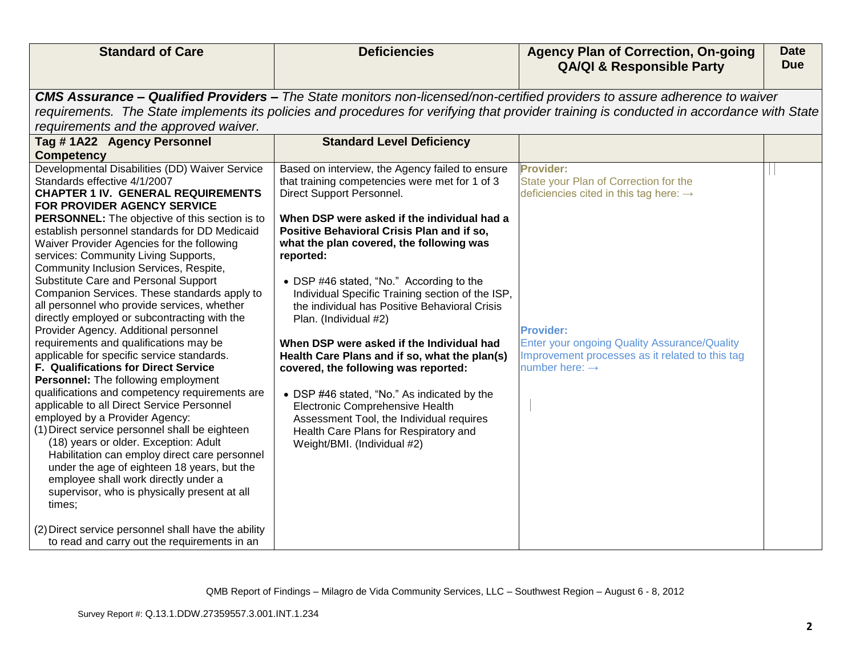| <b>QA/QI &amp; Responsible Party</b>                                                                                                           | <b>Due</b> |
|------------------------------------------------------------------------------------------------------------------------------------------------|------------|
| <b>CMS Assurance – Qualified Providers –</b> The State monitors non-licensed/non-certified providers to assure adherence to waiver             |            |
| requirements. The State implements its policies and procedures for verifying that provider training is conducted in accordance with State      |            |
| requirements and the approved waiver.                                                                                                          |            |
| <b>Standard Level Deficiency</b><br>Tag #1A22 Agency Personnel                                                                                 |            |
| <b>Competency</b>                                                                                                                              |            |
| Developmental Disabilities (DD) Waiver Service<br><b>Provider:</b><br>Based on interview, the Agency failed to ensure                          |            |
| that training competencies were met for 1 of 3<br>State your Plan of Correction for the<br>Standards effective 4/1/2007                        |            |
| Direct Support Personnel.<br><b>CHAPTER 1 IV. GENERAL REQUIREMENTS</b><br>deficiencies cited in this tag here: $\rightarrow$                   |            |
| FOR PROVIDER AGENCY SERVICE                                                                                                                    |            |
| When DSP were asked if the individual had a<br><b>PERSONNEL:</b> The objective of this section is to                                           |            |
| establish personnel standards for DD Medicaid<br>Positive Behavioral Crisis Plan and if so,                                                    |            |
| Waiver Provider Agencies for the following<br>what the plan covered, the following was                                                         |            |
| services: Community Living Supports,<br>reported:                                                                                              |            |
| Community Inclusion Services, Respite,                                                                                                         |            |
| Substitute Care and Personal Support<br>• DSP #46 stated, "No." According to the                                                               |            |
| Companion Services. These standards apply to<br>Individual Specific Training section of the ISP,                                               |            |
| all personnel who provide services, whether<br>the individual has Positive Behavioral Crisis                                                   |            |
| directly employed or subcontracting with the<br>Plan. (Individual #2)                                                                          |            |
| Provider Agency. Additional personnel<br><b>Provider:</b>                                                                                      |            |
| requirements and qualifications may be<br><b>Enter your ongoing Quality Assurance/Quality</b><br>When DSP were asked if the Individual had     |            |
| applicable for specific service standards.<br>Improvement processes as it related to this tag<br>Health Care Plans and if so, what the plan(s) |            |
| <b>F. Qualifications for Direct Service</b><br>number here: $\rightarrow$<br>covered, the following was reported:                              |            |
| Personnel: The following employment                                                                                                            |            |
| qualifications and competency requirements are<br>• DSP #46 stated, "No." As indicated by the                                                  |            |
| applicable to all Direct Service Personnel<br>Electronic Comprehensive Health                                                                  |            |
| employed by a Provider Agency:<br>Assessment Tool, the Individual requires                                                                     |            |
| (1) Direct service personnel shall be eighteen<br>Health Care Plans for Respiratory and<br>(18) years or older. Exception: Adult               |            |
| Weight/BMI. (Individual #2)<br>Habilitation can employ direct care personnel                                                                   |            |
| under the age of eighteen 18 years, but the                                                                                                    |            |
| employee shall work directly under a                                                                                                           |            |
| supervisor, who is physically present at all                                                                                                   |            |
| times;                                                                                                                                         |            |
|                                                                                                                                                |            |
| (2) Direct service personnel shall have the ability                                                                                            |            |
| to read and carry out the requirements in an                                                                                                   |            |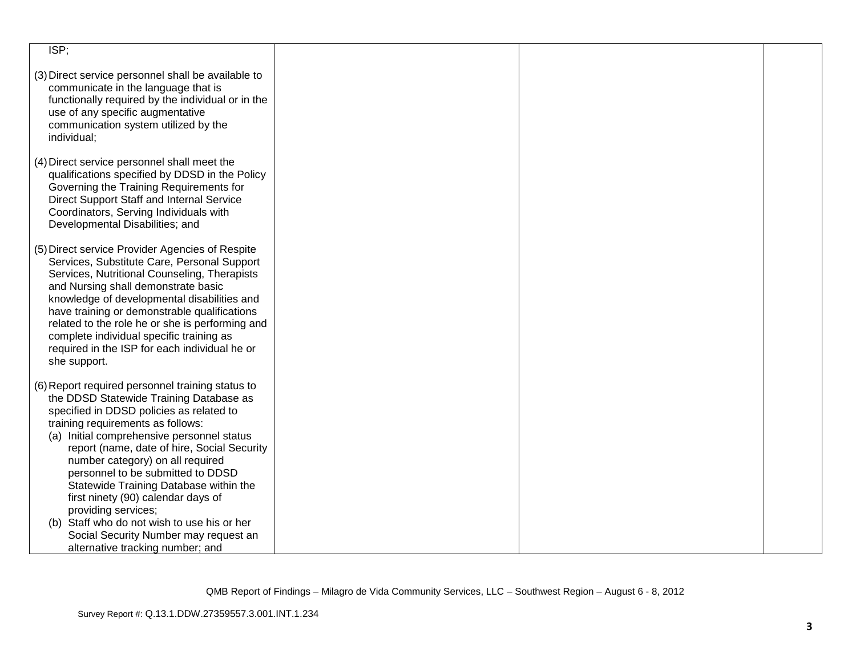| ISP                                                                                                                                                                                                                                                                                                                                                                                                                                                                                                      |  |  |
|----------------------------------------------------------------------------------------------------------------------------------------------------------------------------------------------------------------------------------------------------------------------------------------------------------------------------------------------------------------------------------------------------------------------------------------------------------------------------------------------------------|--|--|
| (3) Direct service personnel shall be available to<br>communicate in the language that is<br>functionally required by the individual or in the<br>use of any specific augmentative<br>communication system utilized by the<br>individual;                                                                                                                                                                                                                                                                |  |  |
| (4) Direct service personnel shall meet the<br>qualifications specified by DDSD in the Policy<br>Governing the Training Requirements for<br>Direct Support Staff and Internal Service<br>Coordinators, Serving Individuals with<br>Developmental Disabilities; and                                                                                                                                                                                                                                       |  |  |
| (5) Direct service Provider Agencies of Respite<br>Services, Substitute Care, Personal Support<br>Services, Nutritional Counseling, Therapists<br>and Nursing shall demonstrate basic<br>knowledge of developmental disabilities and<br>have training or demonstrable qualifications<br>related to the role he or she is performing and<br>complete individual specific training as<br>required in the ISP for each individual he or<br>she support.                                                     |  |  |
| (6) Report required personnel training status to<br>the DDSD Statewide Training Database as<br>specified in DDSD policies as related to<br>training requirements as follows:<br>(a) Initial comprehensive personnel status<br>report (name, date of hire, Social Security<br>number category) on all required<br>personnel to be submitted to DDSD<br>Statewide Training Database within the<br>first ninety (90) calendar days of<br>providing services;<br>(b) Staff who do not wish to use his or her |  |  |
| Social Security Number may request an<br>alternative tracking number; and                                                                                                                                                                                                                                                                                                                                                                                                                                |  |  |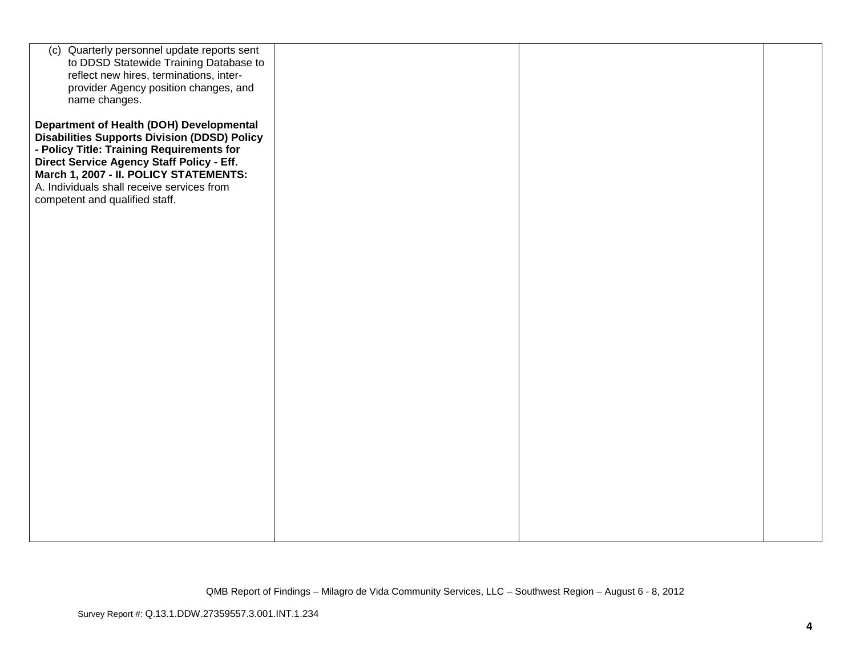| (c) Quarterly personnel update reports sent<br>to DDSD Statewide Training Database to<br>reflect new hires, terminations, inter-<br>provider Agency position changes, and<br>name changes.                                                                                                                          |  |  |
|---------------------------------------------------------------------------------------------------------------------------------------------------------------------------------------------------------------------------------------------------------------------------------------------------------------------|--|--|
| Department of Health (DOH) Developmental<br><b>Disabilities Supports Division (DDSD) Policy</b><br>- Policy Title: Training Requirements for<br>Direct Service Agency Staff Policy - Eff.<br>March 1, 2007 - II. POLICY STATEMENTS:<br>A. Individuals shall receive services from<br>competent and qualified staff. |  |  |
|                                                                                                                                                                                                                                                                                                                     |  |  |
|                                                                                                                                                                                                                                                                                                                     |  |  |
|                                                                                                                                                                                                                                                                                                                     |  |  |
|                                                                                                                                                                                                                                                                                                                     |  |  |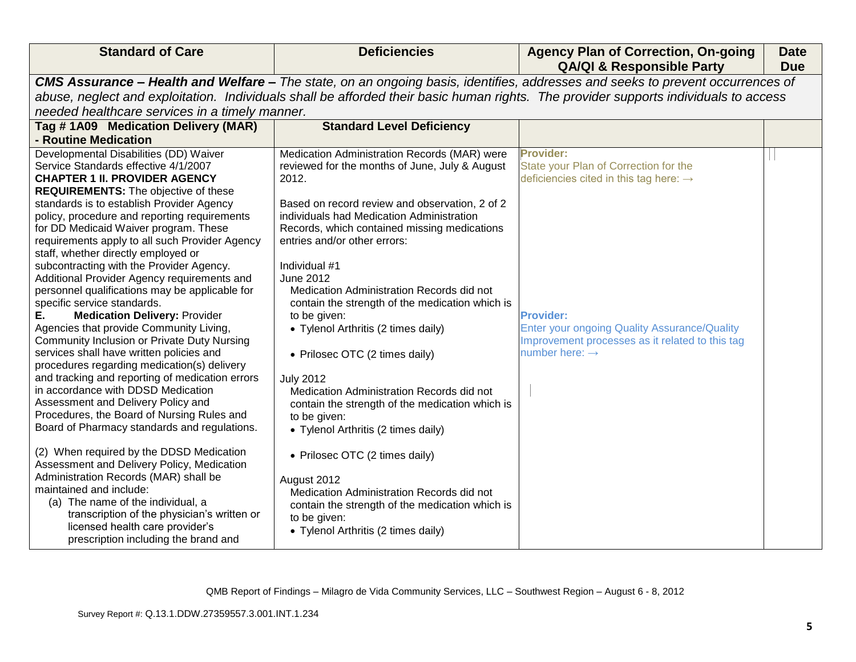| <b>Standard of Care</b>                                                                                                                                                                                                                                                                                                                                                                                                                                                                                                                                                                                                                                                                                                                                                                                                                                                                                                                                                                                                                                                                                                                                                                                                                                                                                                               | <b>Deficiencies</b>                                                                                                                                                                                                                                                                                                                                                                                                                                                                                                                                                                                                                                                                                                                                                                                                                                              | <b>Agency Plan of Correction, On-going</b><br><b>QA/QI &amp; Responsible Party</b>                                                                                                                                                                                   | <b>Date</b><br><b>Due</b> |
|---------------------------------------------------------------------------------------------------------------------------------------------------------------------------------------------------------------------------------------------------------------------------------------------------------------------------------------------------------------------------------------------------------------------------------------------------------------------------------------------------------------------------------------------------------------------------------------------------------------------------------------------------------------------------------------------------------------------------------------------------------------------------------------------------------------------------------------------------------------------------------------------------------------------------------------------------------------------------------------------------------------------------------------------------------------------------------------------------------------------------------------------------------------------------------------------------------------------------------------------------------------------------------------------------------------------------------------|------------------------------------------------------------------------------------------------------------------------------------------------------------------------------------------------------------------------------------------------------------------------------------------------------------------------------------------------------------------------------------------------------------------------------------------------------------------------------------------------------------------------------------------------------------------------------------------------------------------------------------------------------------------------------------------------------------------------------------------------------------------------------------------------------------------------------------------------------------------|----------------------------------------------------------------------------------------------------------------------------------------------------------------------------------------------------------------------------------------------------------------------|---------------------------|
|                                                                                                                                                                                                                                                                                                                                                                                                                                                                                                                                                                                                                                                                                                                                                                                                                                                                                                                                                                                                                                                                                                                                                                                                                                                                                                                                       |                                                                                                                                                                                                                                                                                                                                                                                                                                                                                                                                                                                                                                                                                                                                                                                                                                                                  | CMS Assurance - Health and Welfare - The state, on an ongoing basis, identifies, addresses and seeks to prevent occurrences of                                                                                                                                       |                           |
|                                                                                                                                                                                                                                                                                                                                                                                                                                                                                                                                                                                                                                                                                                                                                                                                                                                                                                                                                                                                                                                                                                                                                                                                                                                                                                                                       |                                                                                                                                                                                                                                                                                                                                                                                                                                                                                                                                                                                                                                                                                                                                                                                                                                                                  | abuse, neglect and exploitation. Individuals shall be afforded their basic human rights. The provider supports individuals to access                                                                                                                                 |                           |
| needed healthcare services in a timely manner.                                                                                                                                                                                                                                                                                                                                                                                                                                                                                                                                                                                                                                                                                                                                                                                                                                                                                                                                                                                                                                                                                                                                                                                                                                                                                        |                                                                                                                                                                                                                                                                                                                                                                                                                                                                                                                                                                                                                                                                                                                                                                                                                                                                  |                                                                                                                                                                                                                                                                      |                           |
| Tag # 1A09 Medication Delivery (MAR)                                                                                                                                                                                                                                                                                                                                                                                                                                                                                                                                                                                                                                                                                                                                                                                                                                                                                                                                                                                                                                                                                                                                                                                                                                                                                                  | <b>Standard Level Deficiency</b>                                                                                                                                                                                                                                                                                                                                                                                                                                                                                                                                                                                                                                                                                                                                                                                                                                 |                                                                                                                                                                                                                                                                      |                           |
| - Routine Medication                                                                                                                                                                                                                                                                                                                                                                                                                                                                                                                                                                                                                                                                                                                                                                                                                                                                                                                                                                                                                                                                                                                                                                                                                                                                                                                  |                                                                                                                                                                                                                                                                                                                                                                                                                                                                                                                                                                                                                                                                                                                                                                                                                                                                  |                                                                                                                                                                                                                                                                      |                           |
| Developmental Disabilities (DD) Waiver<br>Service Standards effective 4/1/2007<br><b>CHAPTER 1 II. PROVIDER AGENCY</b><br><b>REQUIREMENTS:</b> The objective of these<br>standards is to establish Provider Agency<br>policy, procedure and reporting requirements<br>for DD Medicaid Waiver program. These<br>requirements apply to all such Provider Agency<br>staff, whether directly employed or<br>subcontracting with the Provider Agency.<br>Additional Provider Agency requirements and<br>personnel qualifications may be applicable for<br>specific service standards.<br><b>Medication Delivery: Provider</b><br>Е.<br>Agencies that provide Community Living,<br>Community Inclusion or Private Duty Nursing<br>services shall have written policies and<br>procedures regarding medication(s) delivery<br>and tracking and reporting of medication errors<br>in accordance with DDSD Medication<br>Assessment and Delivery Policy and<br>Procedures, the Board of Nursing Rules and<br>Board of Pharmacy standards and regulations.<br>(2) When required by the DDSD Medication<br>Assessment and Delivery Policy, Medication<br>Administration Records (MAR) shall be<br>maintained and include:<br>(a) The name of the individual, a<br>transcription of the physician's written or<br>licensed health care provider's | Medication Administration Records (MAR) were<br>reviewed for the months of June, July & August<br>2012.<br>Based on record review and observation, 2 of 2<br>individuals had Medication Administration<br>Records, which contained missing medications<br>entries and/or other errors:<br>Individual #1<br><b>June 2012</b><br>Medication Administration Records did not<br>contain the strength of the medication which is<br>to be given:<br>• Tylenol Arthritis (2 times daily)<br>• Prilosec OTC (2 times daily)<br><b>July 2012</b><br>Medication Administration Records did not<br>contain the strength of the medication which is<br>to be given:<br>• Tylenol Arthritis (2 times daily)<br>• Prilosec OTC (2 times daily)<br>August 2012<br>Medication Administration Records did not<br>contain the strength of the medication which is<br>to be given: | Provider:<br>State your Plan of Correction for the<br>deficiencies cited in this tag here: $\rightarrow$<br><b>Provider:</b><br><b>Enter your ongoing Quality Assurance/Quality</b><br>Improvement processes as it related to this tag<br>number here: $\rightarrow$ |                           |
| prescription including the brand and                                                                                                                                                                                                                                                                                                                                                                                                                                                                                                                                                                                                                                                                                                                                                                                                                                                                                                                                                                                                                                                                                                                                                                                                                                                                                                  | • Tylenol Arthritis (2 times daily)                                                                                                                                                                                                                                                                                                                                                                                                                                                                                                                                                                                                                                                                                                                                                                                                                              |                                                                                                                                                                                                                                                                      |                           |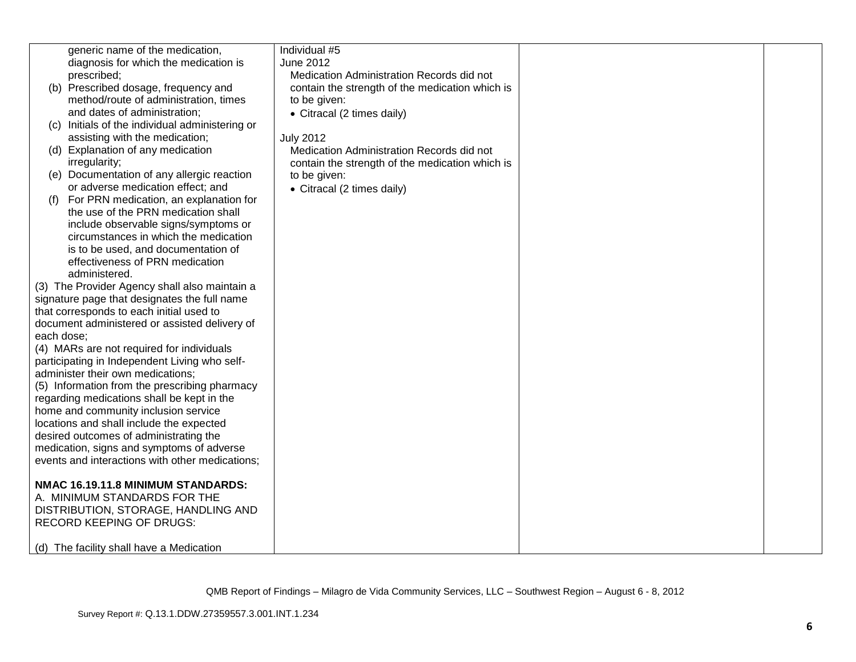|            | generic name of the medication,                 | Individual #5                                   |  |
|------------|-------------------------------------------------|-------------------------------------------------|--|
|            | diagnosis for which the medication is           | June 2012                                       |  |
|            | prescribed;                                     | Medication Administration Records did not       |  |
|            | (b) Prescribed dosage, frequency and            | contain the strength of the medication which is |  |
|            | method/route of administration, times           | to be given:                                    |  |
|            | and dates of administration;                    | • Citracal (2 times daily)                      |  |
| (C)        | Initials of the individual administering or     |                                                 |  |
|            | assisting with the medication;                  | <b>July 2012</b>                                |  |
|            | (d) Explanation of any medication               | Medication Administration Records did not       |  |
|            | irregularity;                                   | contain the strength of the medication which is |  |
|            | (e) Documentation of any allergic reaction      | to be given:                                    |  |
|            | or adverse medication effect; and               | • Citracal (2 times daily)                      |  |
| (t)        | For PRN medication, an explanation for          |                                                 |  |
|            | the use of the PRN medication shall             |                                                 |  |
|            | include observable signs/symptoms or            |                                                 |  |
|            | circumstances in which the medication           |                                                 |  |
|            | is to be used, and documentation of             |                                                 |  |
|            | effectiveness of PRN medication                 |                                                 |  |
|            | administered.                                   |                                                 |  |
|            | (3) The Provider Agency shall also maintain a   |                                                 |  |
|            | signature page that designates the full name    |                                                 |  |
|            | that corresponds to each initial used to        |                                                 |  |
|            | document administered or assisted delivery of   |                                                 |  |
| each dose; |                                                 |                                                 |  |
|            | (4) MARs are not required for individuals       |                                                 |  |
|            | participating in Independent Living who self-   |                                                 |  |
|            | administer their own medications;               |                                                 |  |
|            | (5) Information from the prescribing pharmacy   |                                                 |  |
|            | regarding medications shall be kept in the      |                                                 |  |
|            | home and community inclusion service            |                                                 |  |
|            | locations and shall include the expected        |                                                 |  |
|            | desired outcomes of administrating the          |                                                 |  |
|            | medication, signs and symptoms of adverse       |                                                 |  |
|            | events and interactions with other medications; |                                                 |  |
|            |                                                 |                                                 |  |
|            | NMAC 16.19.11.8 MINIMUM STANDARDS:              |                                                 |  |
|            | A. MINIMUM STANDARDS FOR THE                    |                                                 |  |
|            | DISTRIBUTION, STORAGE, HANDLING AND             |                                                 |  |
|            | <b>RECORD KEEPING OF DRUGS:</b>                 |                                                 |  |
|            |                                                 |                                                 |  |
|            | (d) The facility shall have a Medication        |                                                 |  |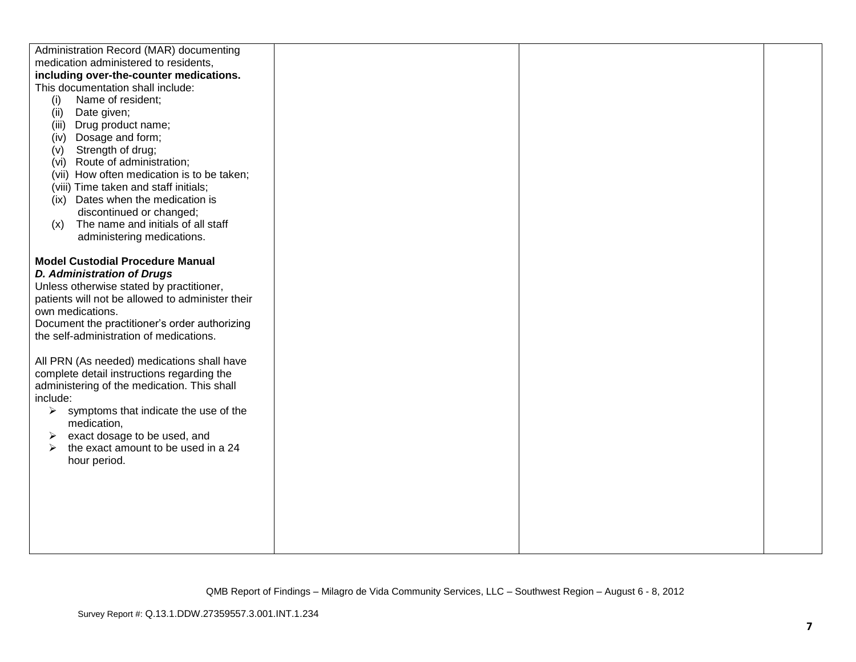| Administration Record (MAR) documenting          |  |  |
|--------------------------------------------------|--|--|
| medication administered to residents,            |  |  |
| including over-the-counter medications.          |  |  |
| This documentation shall include:                |  |  |
| (i)<br>Name of resident;                         |  |  |
| Date given;<br>(ii)                              |  |  |
| Drug product name;<br>(iii)                      |  |  |
| Dosage and form;<br>(iv)                         |  |  |
| Strength of drug;<br>(v)                         |  |  |
| Route of administration;<br>(vi)                 |  |  |
| (vii) How often medication is to be taken;       |  |  |
| (viii) Time taken and staff initials;            |  |  |
| (ix) Dates when the medication is                |  |  |
| discontinued or changed;                         |  |  |
| The name and initials of all staff<br>(x)        |  |  |
| administering medications.                       |  |  |
|                                                  |  |  |
| <b>Model Custodial Procedure Manual</b>          |  |  |
| <b>D. Administration of Drugs</b>                |  |  |
| Unless otherwise stated by practitioner,         |  |  |
| patients will not be allowed to administer their |  |  |
| own medications.                                 |  |  |
| Document the practitioner's order authorizing    |  |  |
| the self-administration of medications.          |  |  |
|                                                  |  |  |
| All PRN (As needed) medications shall have       |  |  |
| complete detail instructions regarding the       |  |  |
| administering of the medication. This shall      |  |  |
| include:                                         |  |  |
| symptoms that indicate the use of the<br>➤       |  |  |
| medication,                                      |  |  |
| exact dosage to be used, and<br>➤                |  |  |
| the exact amount to be used in a 24<br>≻         |  |  |
| hour period.                                     |  |  |
|                                                  |  |  |
|                                                  |  |  |
|                                                  |  |  |
|                                                  |  |  |
|                                                  |  |  |
|                                                  |  |  |
|                                                  |  |  |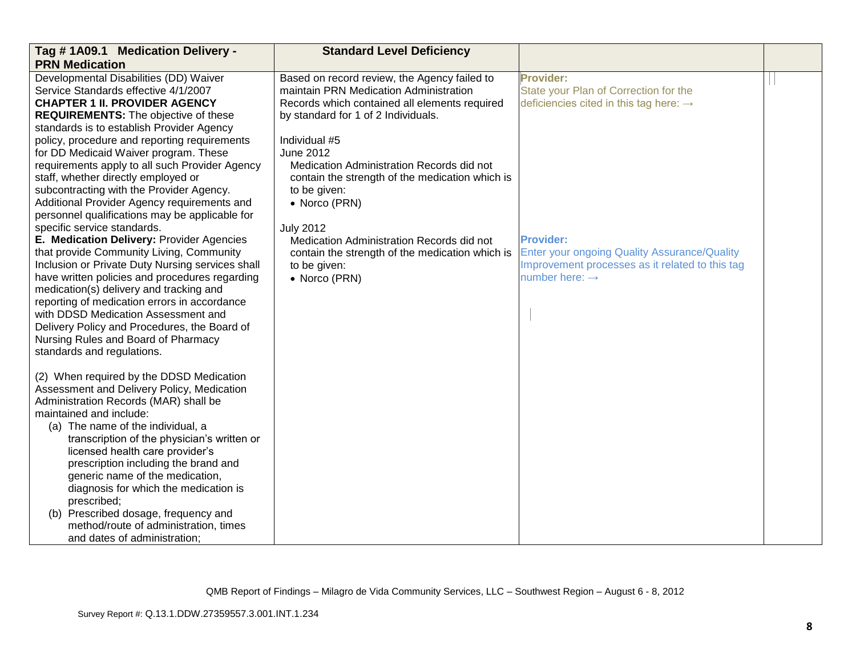| Tag #1A09.1 Medication Delivery -                                                                                                                                                                                                                                                                                                                                                                                                                                                                                                                                                                         | <b>Standard Level Deficiency</b>                                                                                                                                                                                                                                                                                                                                         |                                                                                                                                                          |  |
|-----------------------------------------------------------------------------------------------------------------------------------------------------------------------------------------------------------------------------------------------------------------------------------------------------------------------------------------------------------------------------------------------------------------------------------------------------------------------------------------------------------------------------------------------------------------------------------------------------------|--------------------------------------------------------------------------------------------------------------------------------------------------------------------------------------------------------------------------------------------------------------------------------------------------------------------------------------------------------------------------|----------------------------------------------------------------------------------------------------------------------------------------------------------|--|
| <b>PRN Medication</b><br>Developmental Disabilities (DD) Waiver<br>Service Standards effective 4/1/2007<br><b>CHAPTER 1 II. PROVIDER AGENCY</b><br><b>REQUIREMENTS:</b> The objective of these<br>standards is to establish Provider Agency<br>policy, procedure and reporting requirements<br>for DD Medicaid Waiver program. These<br>requirements apply to all such Provider Agency<br>staff, whether directly employed or<br>subcontracting with the Provider Agency.<br>Additional Provider Agency requirements and<br>personnel qualifications may be applicable for<br>specific service standards. | Based on record review, the Agency failed to<br>maintain PRN Medication Administration<br>Records which contained all elements required<br>by standard for 1 of 2 Individuals.<br>Individual #5<br><b>June 2012</b><br>Medication Administration Records did not<br>contain the strength of the medication which is<br>to be given:<br>• Norco (PRN)<br><b>July 2012</b> | <b>Provider:</b><br>State your Plan of Correction for the<br>deficiencies cited in this tag here: $\rightarrow$                                          |  |
| E. Medication Delivery: Provider Agencies<br>that provide Community Living, Community<br>Inclusion or Private Duty Nursing services shall<br>have written policies and procedures regarding<br>medication(s) delivery and tracking and<br>reporting of medication errors in accordance<br>with DDSD Medication Assessment and<br>Delivery Policy and Procedures, the Board of<br>Nursing Rules and Board of Pharmacy<br>standards and regulations.                                                                                                                                                        | Medication Administration Records did not<br>contain the strength of the medication which is<br>to be given:<br>• Norco (PRN)                                                                                                                                                                                                                                            | <b>Provider:</b><br><b>Enter your ongoing Quality Assurance/Quality</b><br>Improvement processes as it related to this tag<br>number here: $\rightarrow$ |  |
| (2) When required by the DDSD Medication<br>Assessment and Delivery Policy, Medication<br>Administration Records (MAR) shall be<br>maintained and include:<br>(a) The name of the individual, a<br>transcription of the physician's written or<br>licensed health care provider's<br>prescription including the brand and<br>generic name of the medication,<br>diagnosis for which the medication is<br>prescribed;<br>(b) Prescribed dosage, frequency and<br>method/route of administration, times<br>and dates of administration;                                                                     |                                                                                                                                                                                                                                                                                                                                                                          |                                                                                                                                                          |  |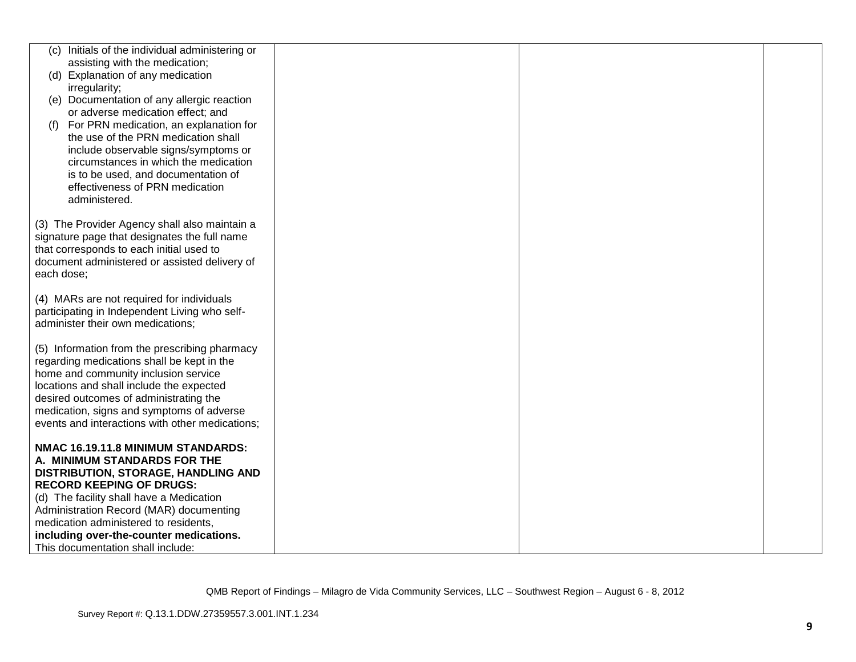|            | (c) Initials of the individual administering or |  |  |
|------------|-------------------------------------------------|--|--|
|            | assisting with the medication;                  |  |  |
|            | (d) Explanation of any medication               |  |  |
|            |                                                 |  |  |
|            | irregularity;                                   |  |  |
|            | (e) Documentation of any allergic reaction      |  |  |
|            | or adverse medication effect; and               |  |  |
| (f)        | For PRN medication, an explanation for          |  |  |
|            | the use of the PRN medication shall             |  |  |
|            | include observable signs/symptoms or            |  |  |
|            | circumstances in which the medication           |  |  |
|            | is to be used, and documentation of             |  |  |
|            | effectiveness of PRN medication                 |  |  |
|            | administered.                                   |  |  |
|            |                                                 |  |  |
|            | (3) The Provider Agency shall also maintain a   |  |  |
|            | signature page that designates the full name    |  |  |
|            | that corresponds to each initial used to        |  |  |
|            | document administered or assisted delivery of   |  |  |
| each dose; |                                                 |  |  |
|            |                                                 |  |  |
|            | (4) MARs are not required for individuals       |  |  |
|            | participating in Independent Living who self-   |  |  |
|            | administer their own medications;               |  |  |
|            |                                                 |  |  |
|            | (5) Information from the prescribing pharmacy   |  |  |
|            | regarding medications shall be kept in the      |  |  |
|            | home and community inclusion service            |  |  |
|            | locations and shall include the expected        |  |  |
|            |                                                 |  |  |
|            | desired outcomes of administrating the          |  |  |
|            | medication, signs and symptoms of adverse       |  |  |
|            | events and interactions with other medications; |  |  |
|            |                                                 |  |  |
|            | NMAC 16.19.11.8 MINIMUM STANDARDS:              |  |  |
|            | A. MINIMUM STANDARDS FOR THE                    |  |  |
|            | DISTRIBUTION, STORAGE, HANDLING AND             |  |  |
|            | <b>RECORD KEEPING OF DRUGS:</b>                 |  |  |
|            | (d) The facility shall have a Medication        |  |  |
|            | Administration Record (MAR) documenting         |  |  |
|            | medication administered to residents,           |  |  |
|            | including over-the-counter medications.         |  |  |
|            | This documentation shall include:               |  |  |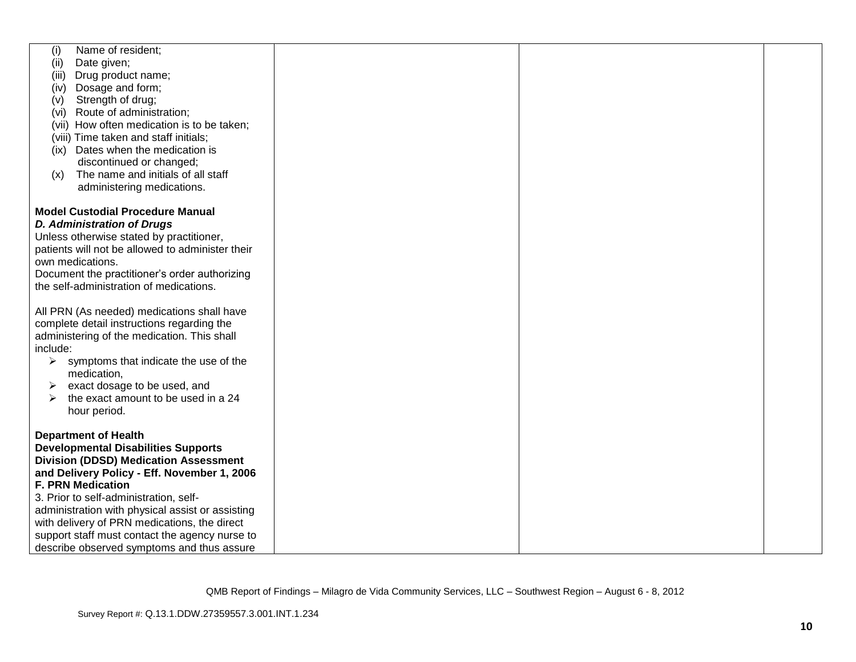| Name of resident;<br>(i)                               |  |  |
|--------------------------------------------------------|--|--|
| Date given;<br>(ii)                                    |  |  |
| Drug product name;<br>(iii)                            |  |  |
| Dosage and form;<br>(iv)                               |  |  |
| Strength of drug;<br>(v)                               |  |  |
| (vi) Route of administration;                          |  |  |
| (vii) How often medication is to be taken;             |  |  |
| (viii) Time taken and staff initials;                  |  |  |
| (ix) Dates when the medication is                      |  |  |
| discontinued or changed;                               |  |  |
| The name and initials of all staff<br>(x)              |  |  |
| administering medications.                             |  |  |
|                                                        |  |  |
| <b>Model Custodial Procedure Manual</b>                |  |  |
|                                                        |  |  |
| <b>D. Administration of Drugs</b>                      |  |  |
| Unless otherwise stated by practitioner,               |  |  |
| patients will not be allowed to administer their       |  |  |
| own medications.                                       |  |  |
| Document the practitioner's order authorizing          |  |  |
| the self-administration of medications.                |  |  |
|                                                        |  |  |
| All PRN (As needed) medications shall have             |  |  |
| complete detail instructions regarding the             |  |  |
| administering of the medication. This shall            |  |  |
| include:                                               |  |  |
| $\triangleright$ symptoms that indicate the use of the |  |  |
| medication,                                            |  |  |
| exact dosage to be used, and<br>➤                      |  |  |
| the exact amount to be used in a 24<br>➤               |  |  |
| hour period.                                           |  |  |
|                                                        |  |  |
| <b>Department of Health</b>                            |  |  |
| <b>Developmental Disabilities Supports</b>             |  |  |
| <b>Division (DDSD) Medication Assessment</b>           |  |  |
| and Delivery Policy - Eff. November 1, 2006            |  |  |
| <b>F. PRN Medication</b>                               |  |  |
| 3. Prior to self-administration, self-                 |  |  |
| administration with physical assist or assisting       |  |  |
| with delivery of PRN medications, the direct           |  |  |
| support staff must contact the agency nurse to         |  |  |
| describe observed symptoms and thus assure             |  |  |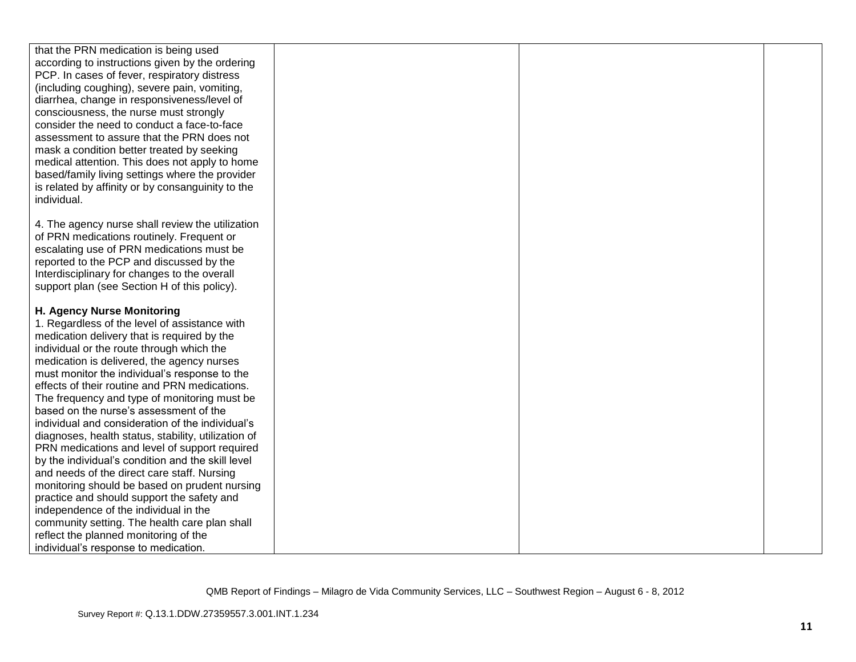| that the PRN medication is being used               |  |  |
|-----------------------------------------------------|--|--|
| according to instructions given by the ordering     |  |  |
|                                                     |  |  |
| PCP. In cases of fever, respiratory distress        |  |  |
| (including coughing), severe pain, vomiting,        |  |  |
| diarrhea, change in responsiveness/level of         |  |  |
| consciousness, the nurse must strongly              |  |  |
| consider the need to conduct a face-to-face         |  |  |
| assessment to assure that the PRN does not          |  |  |
| mask a condition better treated by seeking          |  |  |
| medical attention. This does not apply to home      |  |  |
| based/family living settings where the provider     |  |  |
| is related by affinity or by consanguinity to the   |  |  |
| individual.                                         |  |  |
|                                                     |  |  |
| 4. The agency nurse shall review the utilization    |  |  |
| of PRN medications routinely. Frequent or           |  |  |
| escalating use of PRN medications must be           |  |  |
| reported to the PCP and discussed by the            |  |  |
| Interdisciplinary for changes to the overall        |  |  |
|                                                     |  |  |
| support plan (see Section H of this policy).        |  |  |
| H. Agency Nurse Monitoring                          |  |  |
| 1. Regardless of the level of assistance with       |  |  |
|                                                     |  |  |
| medication delivery that is required by the         |  |  |
| individual or the route through which the           |  |  |
| medication is delivered, the agency nurses          |  |  |
| must monitor the individual's response to the       |  |  |
| effects of their routine and PRN medications.       |  |  |
| The frequency and type of monitoring must be        |  |  |
| based on the nurse's assessment of the              |  |  |
| individual and consideration of the individual's    |  |  |
| diagnoses, health status, stability, utilization of |  |  |
| PRN medications and level of support required       |  |  |
| by the individual's condition and the skill level   |  |  |
| and needs of the direct care staff. Nursing         |  |  |
| monitoring should be based on prudent nursing       |  |  |
| practice and should support the safety and          |  |  |
| independence of the individual in the               |  |  |
| community setting. The health care plan shall       |  |  |
| reflect the planned monitoring of the               |  |  |
| individual's response to medication.                |  |  |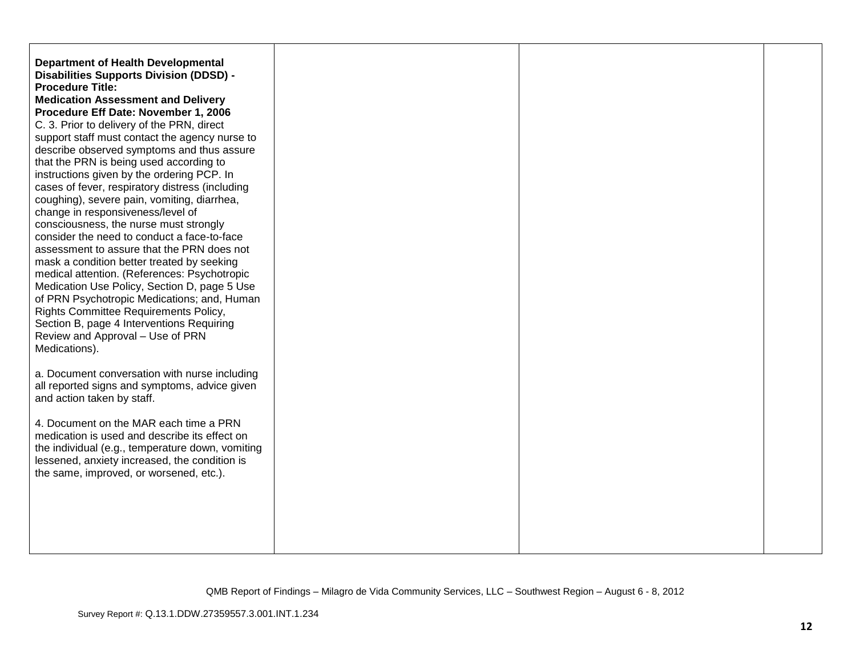| <b>Department of Health Developmental</b><br><b>Disabilities Supports Division (DDSD) -</b><br><b>Procedure Title:</b><br><b>Medication Assessment and Delivery</b><br>Procedure Eff Date: November 1, 2006<br>C. 3. Prior to delivery of the PRN, direct<br>support staff must contact the agency nurse to<br>describe observed symptoms and thus assure<br>that the PRN is being used according to<br>instructions given by the ordering PCP. In<br>cases of fever, respiratory distress (including<br>coughing), severe pain, vomiting, diarrhea,<br>change in responsiveness/level of<br>consciousness, the nurse must strongly<br>consider the need to conduct a face-to-face<br>assessment to assure that the PRN does not<br>mask a condition better treated by seeking<br>medical attention. (References: Psychotropic<br>Medication Use Policy, Section D, page 5 Use<br>of PRN Psychotropic Medications; and, Human<br>Rights Committee Requirements Policy,<br>Section B, page 4 Interventions Requiring<br>Review and Approval - Use of PRN<br>Medications).<br>a. Document conversation with nurse including<br>all reported signs and symptoms, advice given |  |  |
|----------------------------------------------------------------------------------------------------------------------------------------------------------------------------------------------------------------------------------------------------------------------------------------------------------------------------------------------------------------------------------------------------------------------------------------------------------------------------------------------------------------------------------------------------------------------------------------------------------------------------------------------------------------------------------------------------------------------------------------------------------------------------------------------------------------------------------------------------------------------------------------------------------------------------------------------------------------------------------------------------------------------------------------------------------------------------------------------------------------------------------------------------------------------------|--|--|
| and action taken by staff.<br>4. Document on the MAR each time a PRN<br>medication is used and describe its effect on<br>the individual (e.g., temperature down, vomiting<br>lessened, anxiety increased, the condition is<br>the same, improved, or worsened, etc.).                                                                                                                                                                                                                                                                                                                                                                                                                                                                                                                                                                                                                                                                                                                                                                                                                                                                                                      |  |  |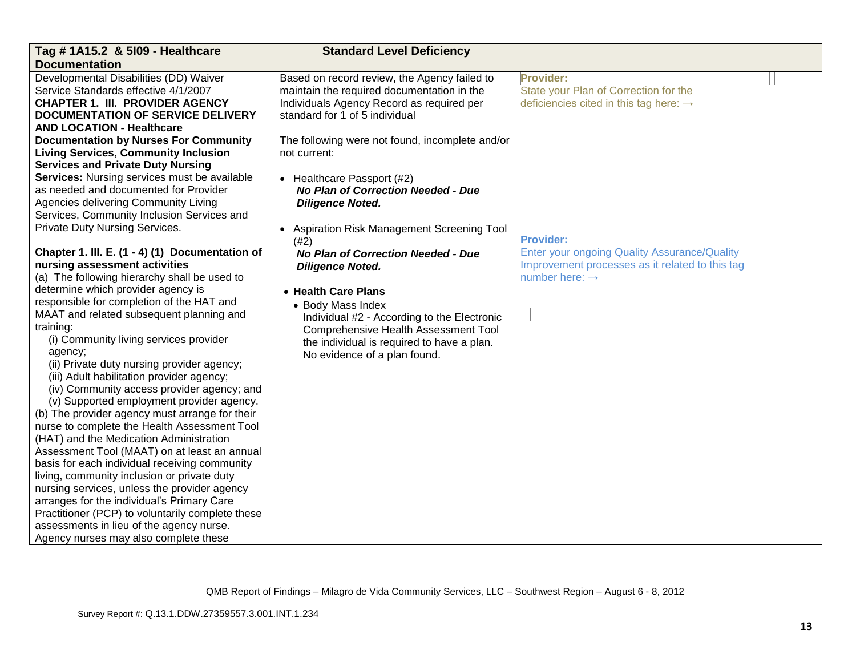| Tag # 1A15.2 & 5109 - Healthcare                 | <b>Standard Level Deficiency</b>                |                                                     |  |
|--------------------------------------------------|-------------------------------------------------|-----------------------------------------------------|--|
| <b>Documentation</b>                             |                                                 |                                                     |  |
| Developmental Disabilities (DD) Waiver           | Based on record review, the Agency failed to    | <b>Provider:</b>                                    |  |
| Service Standards effective 4/1/2007             | maintain the required documentation in the      | State your Plan of Correction for the               |  |
| <b>CHAPTER 1. III. PROVIDER AGENCY</b>           | Individuals Agency Record as required per       | deficiencies cited in this tag here: $\rightarrow$  |  |
| <b>DOCUMENTATION OF SERVICE DELIVERY</b>         | standard for 1 of 5 individual                  |                                                     |  |
| <b>AND LOCATION - Healthcare</b>                 |                                                 |                                                     |  |
| <b>Documentation by Nurses For Community</b>     | The following were not found, incomplete and/or |                                                     |  |
| <b>Living Services, Community Inclusion</b>      | not current:                                    |                                                     |  |
| <b>Services and Private Duty Nursing</b>         |                                                 |                                                     |  |
| Services: Nursing services must be available     | • Healthcare Passport (#2)                      |                                                     |  |
| as needed and documented for Provider            | No Plan of Correction Needed - Due              |                                                     |  |
| Agencies delivering Community Living             | <b>Diligence Noted.</b>                         |                                                     |  |
| Services, Community Inclusion Services and       |                                                 |                                                     |  |
| Private Duty Nursing Services.                   | Aspiration Risk Management Screening Tool       |                                                     |  |
|                                                  | (42)                                            | <b>Provider:</b>                                    |  |
| Chapter 1. III. E. (1 - 4) (1) Documentation of  | <b>No Plan of Correction Needed - Due</b>       | <b>Enter your ongoing Quality Assurance/Quality</b> |  |
| nursing assessment activities                    | <b>Diligence Noted.</b>                         | Improvement processes as it related to this tag     |  |
| (a) The following hierarchy shall be used to     |                                                 | number here: $\rightarrow$                          |  |
| determine which provider agency is               | • Health Care Plans                             |                                                     |  |
| responsible for completion of the HAT and        | • Body Mass Index                               |                                                     |  |
| MAAT and related subsequent planning and         | Individual #2 - According to the Electronic     |                                                     |  |
| training:                                        | <b>Comprehensive Health Assessment Tool</b>     |                                                     |  |
| (i) Community living services provider           | the individual is required to have a plan.      |                                                     |  |
| agency;                                          | No evidence of a plan found.                    |                                                     |  |
| (ii) Private duty nursing provider agency;       |                                                 |                                                     |  |
| (iii) Adult habilitation provider agency;        |                                                 |                                                     |  |
| (iv) Community access provider agency; and       |                                                 |                                                     |  |
| (v) Supported employment provider agency.        |                                                 |                                                     |  |
| (b) The provider agency must arrange for their   |                                                 |                                                     |  |
| nurse to complete the Health Assessment Tool     |                                                 |                                                     |  |
| (HAT) and the Medication Administration          |                                                 |                                                     |  |
| Assessment Tool (MAAT) on at least an annual     |                                                 |                                                     |  |
| basis for each individual receiving community    |                                                 |                                                     |  |
| living, community inclusion or private duty      |                                                 |                                                     |  |
| nursing services, unless the provider agency     |                                                 |                                                     |  |
| arranges for the individual's Primary Care       |                                                 |                                                     |  |
| Practitioner (PCP) to voluntarily complete these |                                                 |                                                     |  |
| assessments in lieu of the agency nurse.         |                                                 |                                                     |  |
| Agency nurses may also complete these            |                                                 |                                                     |  |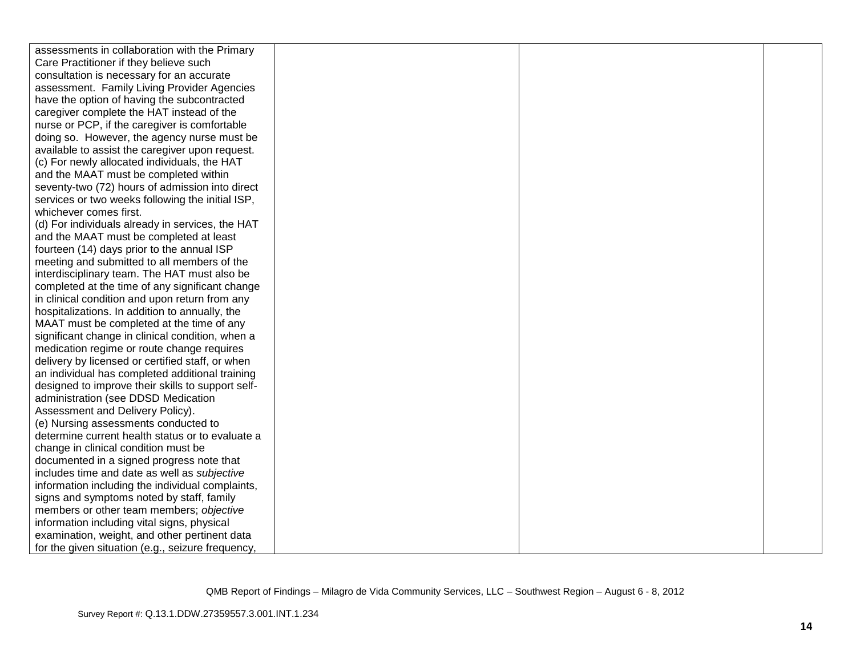| assessments in collaboration with the Primary     |  |  |
|---------------------------------------------------|--|--|
| Care Practitioner if they believe such            |  |  |
| consultation is necessary for an accurate         |  |  |
| assessment. Family Living Provider Agencies       |  |  |
| have the option of having the subcontracted       |  |  |
| caregiver complete the HAT instead of the         |  |  |
| nurse or PCP, if the caregiver is comfortable     |  |  |
| doing so. However, the agency nurse must be       |  |  |
| available to assist the caregiver upon request.   |  |  |
| (c) For newly allocated individuals, the HAT      |  |  |
| and the MAAT must be completed within             |  |  |
| seventy-two (72) hours of admission into direct   |  |  |
| services or two weeks following the initial ISP,  |  |  |
| whichever comes first.                            |  |  |
| (d) For individuals already in services, the HAT  |  |  |
| and the MAAT must be completed at least           |  |  |
| fourteen (14) days prior to the annual ISP        |  |  |
| meeting and submitted to all members of the       |  |  |
| interdisciplinary team. The HAT must also be      |  |  |
| completed at the time of any significant change   |  |  |
| in clinical condition and upon return from any    |  |  |
| hospitalizations. In addition to annually, the    |  |  |
| MAAT must be completed at the time of any         |  |  |
| significant change in clinical condition, when a  |  |  |
| medication regime or route change requires        |  |  |
| delivery by licensed or certified staff, or when  |  |  |
| an individual has completed additional training   |  |  |
| designed to improve their skills to support self- |  |  |
| administration (see DDSD Medication               |  |  |
| Assessment and Delivery Policy).                  |  |  |
| (e) Nursing assessments conducted to              |  |  |
| determine current health status or to evaluate a  |  |  |
| change in clinical condition must be              |  |  |
| documented in a signed progress note that         |  |  |
| includes time and date as well as subjective      |  |  |
| information including the individual complaints,  |  |  |
| signs and symptoms noted by staff, family         |  |  |
| members or other team members; objective          |  |  |
| information including vital signs, physical       |  |  |
| examination, weight, and other pertinent data     |  |  |
| for the given situation (e.g., seizure frequency, |  |  |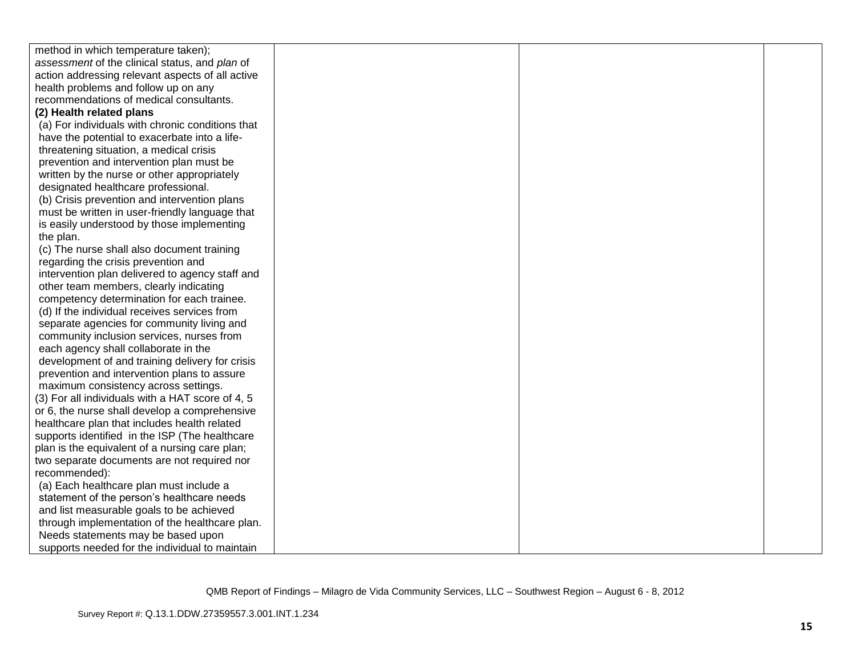| method in which temperature taken);              |  |  |
|--------------------------------------------------|--|--|
| assessment of the clinical status, and plan of   |  |  |
| action addressing relevant aspects of all active |  |  |
| health problems and follow up on any             |  |  |
| recommendations of medical consultants.          |  |  |
| (2) Health related plans                         |  |  |
| (a) For individuals with chronic conditions that |  |  |
| have the potential to exacerbate into a life-    |  |  |
| threatening situation, a medical crisis          |  |  |
| prevention and intervention plan must be         |  |  |
| written by the nurse or other appropriately      |  |  |
| designated healthcare professional.              |  |  |
| (b) Crisis prevention and intervention plans     |  |  |
| must be written in user-friendly language that   |  |  |
| is easily understood by those implementing       |  |  |
| the plan.                                        |  |  |
| (c) The nurse shall also document training       |  |  |
| regarding the crisis prevention and              |  |  |
| intervention plan delivered to agency staff and  |  |  |
| other team members, clearly indicating           |  |  |
| competency determination for each trainee.       |  |  |
| (d) If the individual receives services from     |  |  |
| separate agencies for community living and       |  |  |
| community inclusion services, nurses from        |  |  |
| each agency shall collaborate in the             |  |  |
| development of and training delivery for crisis  |  |  |
| prevention and intervention plans to assure      |  |  |
| maximum consistency across settings.             |  |  |
| (3) For all individuals with a HAT score of 4, 5 |  |  |
| or 6, the nurse shall develop a comprehensive    |  |  |
| healthcare plan that includes health related     |  |  |
| supports identified in the ISP (The healthcare   |  |  |
| plan is the equivalent of a nursing care plan;   |  |  |
| two separate documents are not required nor      |  |  |
| recommended):                                    |  |  |
| (a) Each healthcare plan must include a          |  |  |
| statement of the person's healthcare needs       |  |  |
| and list measurable goals to be achieved         |  |  |
| through implementation of the healthcare plan.   |  |  |
| Needs statements may be based upon               |  |  |
| supports needed for the individual to maintain   |  |  |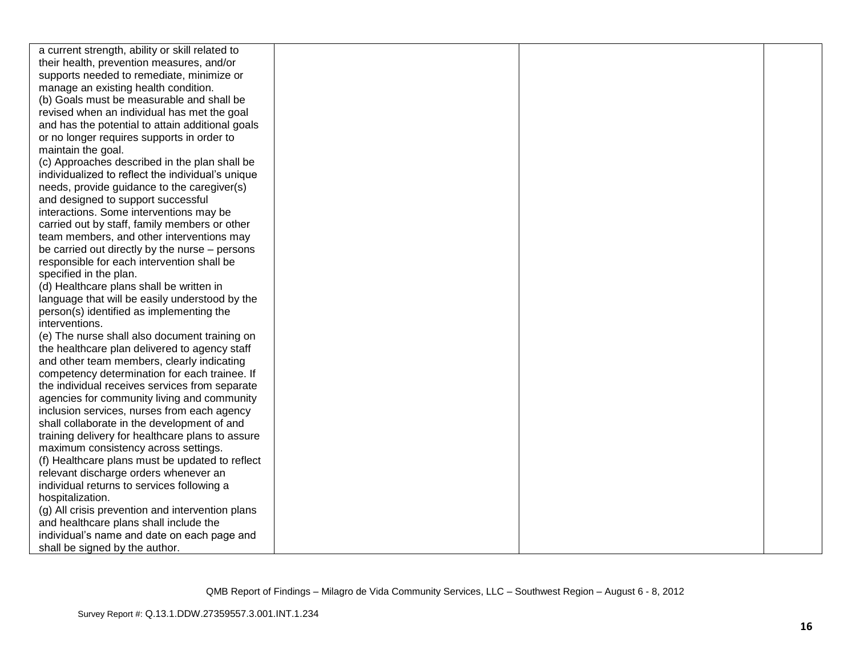| a current strength, ability or skill related to   |  |  |
|---------------------------------------------------|--|--|
| their health, prevention measures, and/or         |  |  |
| supports needed to remediate, minimize or         |  |  |
| manage an existing health condition.              |  |  |
| (b) Goals must be measurable and shall be         |  |  |
| revised when an individual has met the goal       |  |  |
| and has the potential to attain additional goals  |  |  |
| or no longer requires supports in order to        |  |  |
| maintain the goal.                                |  |  |
| (c) Approaches described in the plan shall be     |  |  |
| individualized to reflect the individual's unique |  |  |
| needs, provide guidance to the caregiver(s)       |  |  |
| and designed to support successful                |  |  |
| interactions. Some interventions may be           |  |  |
| carried out by staff, family members or other     |  |  |
| team members, and other interventions may         |  |  |
| be carried out directly by the nurse – persons    |  |  |
| responsible for each intervention shall be        |  |  |
| specified in the plan.                            |  |  |
| (d) Healthcare plans shall be written in          |  |  |
| language that will be easily understood by the    |  |  |
| person(s) identified as implementing the          |  |  |
| interventions.                                    |  |  |
| (e) The nurse shall also document training on     |  |  |
| the healthcare plan delivered to agency staff     |  |  |
| and other team members, clearly indicating        |  |  |
| competency determination for each trainee. If     |  |  |
| the individual receives services from separate    |  |  |
| agencies for community living and community       |  |  |
| inclusion services, nurses from each agency       |  |  |
| shall collaborate in the development of and       |  |  |
| training delivery for healthcare plans to assure  |  |  |
| maximum consistency across settings.              |  |  |
| (f) Healthcare plans must be updated to reflect   |  |  |
| relevant discharge orders whenever an             |  |  |
| individual returns to services following a        |  |  |
| hospitalization.                                  |  |  |
| (g) All crisis prevention and intervention plans  |  |  |
| and healthcare plans shall include the            |  |  |
| individual's name and date on each page and       |  |  |
| shall be signed by the author.                    |  |  |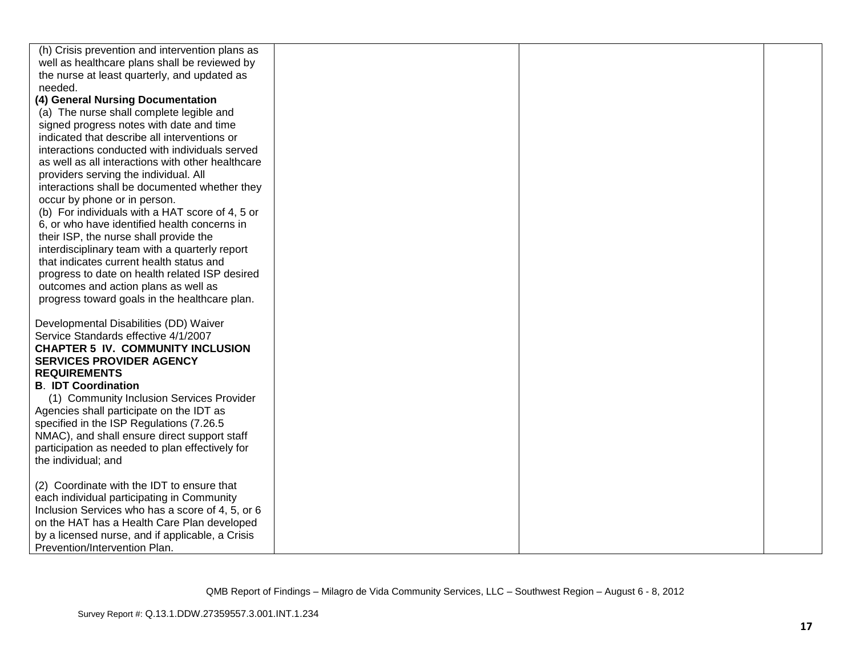| (h) Crisis prevention and intervention plans as   |  |  |
|---------------------------------------------------|--|--|
| well as healthcare plans shall be reviewed by     |  |  |
| the nurse at least quarterly, and updated as      |  |  |
| needed.                                           |  |  |
| (4) General Nursing Documentation                 |  |  |
| (a) The nurse shall complete legible and          |  |  |
| signed progress notes with date and time          |  |  |
| indicated that describe all interventions or      |  |  |
| interactions conducted with individuals served    |  |  |
| as well as all interactions with other healthcare |  |  |
| providers serving the individual. All             |  |  |
| interactions shall be documented whether they     |  |  |
| occur by phone or in person.                      |  |  |
| (b) For individuals with a HAT score of 4, 5 or   |  |  |
| 6, or who have identified health concerns in      |  |  |
| their ISP, the nurse shall provide the            |  |  |
| interdisciplinary team with a quarterly report    |  |  |
| that indicates current health status and          |  |  |
| progress to date on health related ISP desired    |  |  |
| outcomes and action plans as well as              |  |  |
| progress toward goals in the healthcare plan.     |  |  |
|                                                   |  |  |
| Developmental Disabilities (DD) Waiver            |  |  |
| Service Standards effective 4/1/2007              |  |  |
| <b>CHAPTER 5 IV. COMMUNITY INCLUSION</b>          |  |  |
| <b>SERVICES PROVIDER AGENCY</b>                   |  |  |
| <b>REQUIREMENTS</b>                               |  |  |
| <b>B. IDT Coordination</b>                        |  |  |
| (1) Community Inclusion Services Provider         |  |  |
| Agencies shall participate on the IDT as          |  |  |
| specified in the ISP Regulations (7.26.5          |  |  |
| NMAC), and shall ensure direct support staff      |  |  |
| participation as needed to plan effectively for   |  |  |
| the individual; and                               |  |  |
|                                                   |  |  |
| (2) Coordinate with the IDT to ensure that        |  |  |
| each individual participating in Community        |  |  |
| Inclusion Services who has a score of 4, 5, or 6  |  |  |
| on the HAT has a Health Care Plan developed       |  |  |
| by a licensed nurse, and if applicable, a Crisis  |  |  |
| Prevention/Intervention Plan.                     |  |  |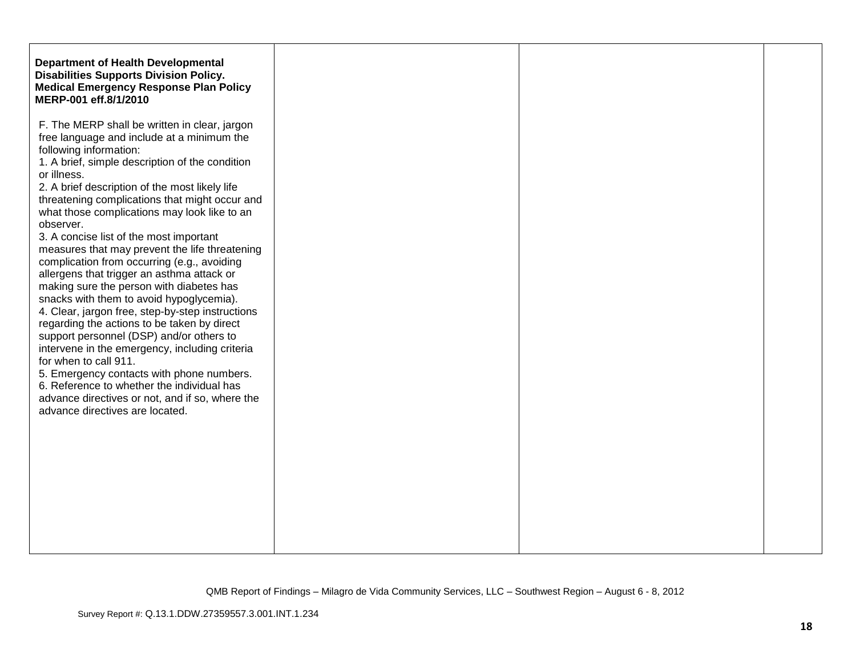| <b>Department of Health Developmental</b><br><b>Disabilities Supports Division Policy.</b><br><b>Medical Emergency Response Plan Policy</b><br>MERP-001 eff.8/1/2010                                                                                                                                                                                                                                                                                                                                                                                                                                                                                                                                                                                                                                                                                                                                                                                                                                                      |
|---------------------------------------------------------------------------------------------------------------------------------------------------------------------------------------------------------------------------------------------------------------------------------------------------------------------------------------------------------------------------------------------------------------------------------------------------------------------------------------------------------------------------------------------------------------------------------------------------------------------------------------------------------------------------------------------------------------------------------------------------------------------------------------------------------------------------------------------------------------------------------------------------------------------------------------------------------------------------------------------------------------------------|
| F. The MERP shall be written in clear, jargon<br>free language and include at a minimum the<br>following information:<br>1. A brief, simple description of the condition<br>2. A brief description of the most likely life<br>threatening complications that might occur and<br>what those complications may look like to an<br>3. A concise list of the most important<br>measures that may prevent the life threatening<br>complication from occurring (e.g., avoiding<br>allergens that trigger an asthma attack or<br>making sure the person with diabetes has<br>snacks with them to avoid hypoglycemia).<br>4. Clear, jargon free, step-by-step instructions<br>regarding the actions to be taken by direct<br>support personnel (DSP) and/or others to<br>intervene in the emergency, including criteria<br>for when to call 911.<br>5. Emergency contacts with phone numbers.<br>6. Reference to whether the individual has<br>advance directives or not, and if so, where the<br>advance directives are located. |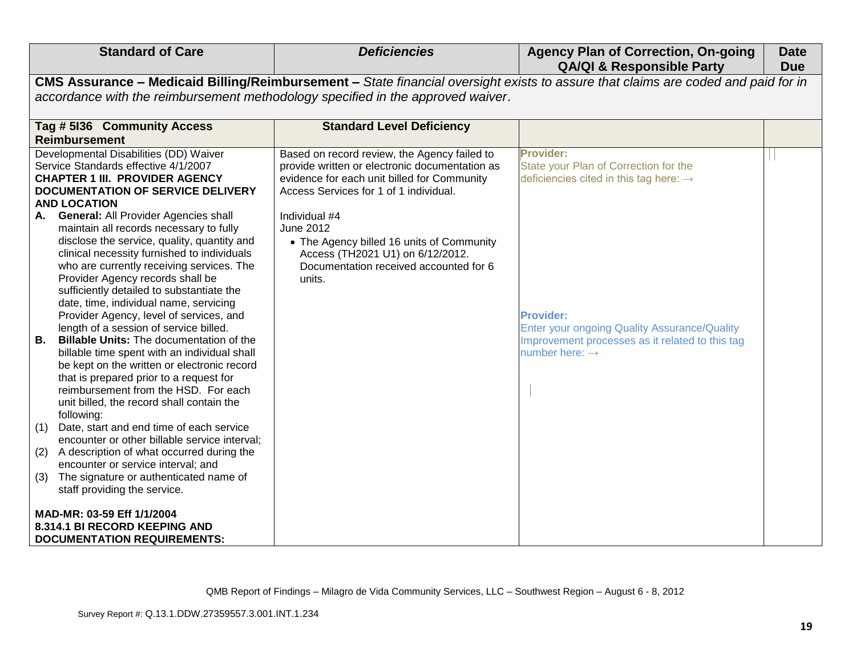| <b>Standard of Care</b>                                                                                                                                                                                                                                                                                                                                                                                                                                                                                                                                                                                                                                                                                                                             | <b>Deficiencies</b>                                                                                                                                                                     | <b>Agency Plan of Correction, On-going</b><br><b>QA/QI &amp; Responsible Party</b>                                                                | <b>Date</b><br><b>Due</b> |
|-----------------------------------------------------------------------------------------------------------------------------------------------------------------------------------------------------------------------------------------------------------------------------------------------------------------------------------------------------------------------------------------------------------------------------------------------------------------------------------------------------------------------------------------------------------------------------------------------------------------------------------------------------------------------------------------------------------------------------------------------------|-----------------------------------------------------------------------------------------------------------------------------------------------------------------------------------------|---------------------------------------------------------------------------------------------------------------------------------------------------|---------------------------|
|                                                                                                                                                                                                                                                                                                                                                                                                                                                                                                                                                                                                                                                                                                                                                     |                                                                                                                                                                                         | CMS Assurance - Medicaid Billing/Reimbursement - State financial oversight exists to assure that claims are coded and paid for in                 |                           |
|                                                                                                                                                                                                                                                                                                                                                                                                                                                                                                                                                                                                                                                                                                                                                     | accordance with the reimbursement methodology specified in the approved waiver.                                                                                                         |                                                                                                                                                   |                           |
| Tag # 5136 Community Access                                                                                                                                                                                                                                                                                                                                                                                                                                                                                                                                                                                                                                                                                                                         | <b>Standard Level Deficiency</b>                                                                                                                                                        |                                                                                                                                                   |                           |
| <b>Reimbursement</b>                                                                                                                                                                                                                                                                                                                                                                                                                                                                                                                                                                                                                                                                                                                                |                                                                                                                                                                                         |                                                                                                                                                   |                           |
| Developmental Disabilities (DD) Waiver<br>Service Standards effective 4/1/2007<br><b>CHAPTER 1 III. PROVIDER AGENCY</b><br><b>DOCUMENTATION OF SERVICE DELIVERY</b><br><b>AND LOCATION</b>                                                                                                                                                                                                                                                                                                                                                                                                                                                                                                                                                          | Based on record review, the Agency failed to<br>provide written or electronic documentation as<br>evidence for each unit billed for Community<br>Access Services for 1 of 1 individual. | Provider:<br>State your Plan of Correction for the<br>deficiencies cited in this tag here: $\rightarrow$                                          |                           |
| A. General: All Provider Agencies shall<br>maintain all records necessary to fully<br>disclose the service, quality, quantity and<br>clinical necessity furnished to individuals<br>who are currently receiving services. The<br>Provider Agency records shall be<br>sufficiently detailed to substantiate the<br>date, time, individual name, servicing<br>Provider Agency, level of services, and<br>length of a session of service billed.<br>В.<br><b>Billable Units: The documentation of the</b><br>billable time spent with an individual shall<br>be kept on the written or electronic record<br>that is prepared prior to a request for<br>reimbursement from the HSD. For each<br>unit billed, the record shall contain the<br>following: | Individual #4<br>June 2012<br>• The Agency billed 16 units of Community<br>Access (TH2021 U1) on 6/12/2012.<br>Documentation received accounted for 6<br>units.                         | <b>Provider:</b><br>Enter your ongoing Quality Assurance/Quality<br>Improvement processes as it related to this tag<br>number here: $\rightarrow$ |                           |
| (1)<br>Date, start and end time of each service<br>encounter or other billable service interval;                                                                                                                                                                                                                                                                                                                                                                                                                                                                                                                                                                                                                                                    |                                                                                                                                                                                         |                                                                                                                                                   |                           |
| A description of what occurred during the<br>(2)<br>encounter or service interval; and                                                                                                                                                                                                                                                                                                                                                                                                                                                                                                                                                                                                                                                              |                                                                                                                                                                                         |                                                                                                                                                   |                           |
| The signature or authenticated name of<br>(3)<br>staff providing the service.                                                                                                                                                                                                                                                                                                                                                                                                                                                                                                                                                                                                                                                                       |                                                                                                                                                                                         |                                                                                                                                                   |                           |
| MAD-MR: 03-59 Eff 1/1/2004<br>8.314.1 BI RECORD KEEPING AND<br><b>DOCUMENTATION REQUIREMENTS:</b>                                                                                                                                                                                                                                                                                                                                                                                                                                                                                                                                                                                                                                                   |                                                                                                                                                                                         |                                                                                                                                                   |                           |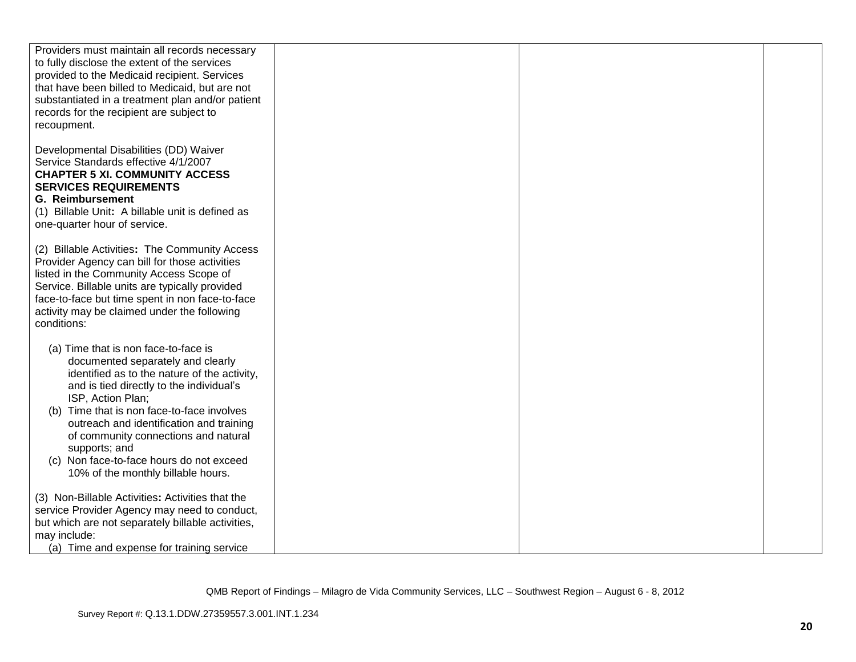| Providers must maintain all records necessary     |  |  |
|---------------------------------------------------|--|--|
| to fully disclose the extent of the services      |  |  |
| provided to the Medicaid recipient. Services      |  |  |
| that have been billed to Medicaid, but are not    |  |  |
| substantiated in a treatment plan and/or patient  |  |  |
|                                                   |  |  |
| records for the recipient are subject to          |  |  |
| recoupment.                                       |  |  |
|                                                   |  |  |
| Developmental Disabilities (DD) Waiver            |  |  |
| Service Standards effective 4/1/2007              |  |  |
| <b>CHAPTER 5 XI. COMMUNITY ACCESS</b>             |  |  |
| <b>SERVICES REQUIREMENTS</b>                      |  |  |
|                                                   |  |  |
| <b>G. Reimbursement</b>                           |  |  |
| (1) Billable Unit: A billable unit is defined as  |  |  |
| one-quarter hour of service.                      |  |  |
|                                                   |  |  |
| (2) Billable Activities: The Community Access     |  |  |
| Provider Agency can bill for those activities     |  |  |
| listed in the Community Access Scope of           |  |  |
|                                                   |  |  |
| Service. Billable units are typically provided    |  |  |
| face-to-face but time spent in non face-to-face   |  |  |
| activity may be claimed under the following       |  |  |
| conditions:                                       |  |  |
|                                                   |  |  |
| (a) Time that is non face-to-face is              |  |  |
| documented separately and clearly                 |  |  |
| identified as to the nature of the activity,      |  |  |
| and is tied directly to the individual's          |  |  |
| ISP, Action Plan;                                 |  |  |
|                                                   |  |  |
| Time that is non face-to-face involves<br>(b)     |  |  |
| outreach and identification and training          |  |  |
| of community connections and natural              |  |  |
| supports; and                                     |  |  |
| (c) Non face-to-face hours do not exceed          |  |  |
| 10% of the monthly billable hours.                |  |  |
|                                                   |  |  |
| (3) Non-Billable Activities: Activities that the  |  |  |
| service Provider Agency may need to conduct,      |  |  |
|                                                   |  |  |
| but which are not separately billable activities, |  |  |
| may include:                                      |  |  |
| (a) Time and expense for training service         |  |  |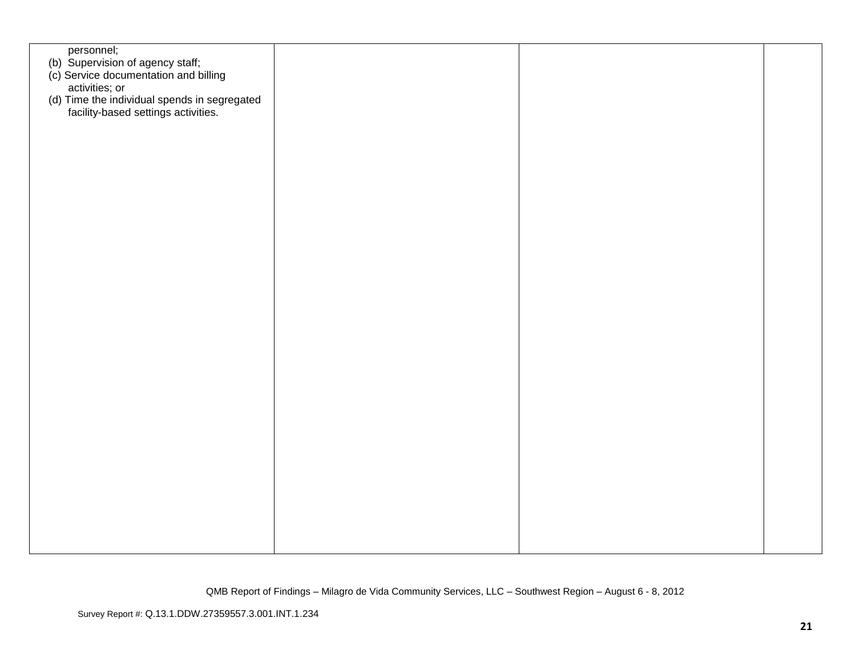| personnel;                                                                                  |  |  |
|---------------------------------------------------------------------------------------------|--|--|
| (b) Supervision of agency staff;<br>(c) Service documentation and billing<br>activities; or |  |  |
|                                                                                             |  |  |
|                                                                                             |  |  |
|                                                                                             |  |  |
| (d) Time the individual spends in segregated<br>facility-based settings activities.         |  |  |
|                                                                                             |  |  |
|                                                                                             |  |  |
|                                                                                             |  |  |
|                                                                                             |  |  |
|                                                                                             |  |  |
|                                                                                             |  |  |
|                                                                                             |  |  |
|                                                                                             |  |  |
|                                                                                             |  |  |
|                                                                                             |  |  |
|                                                                                             |  |  |
|                                                                                             |  |  |
|                                                                                             |  |  |
|                                                                                             |  |  |
|                                                                                             |  |  |
|                                                                                             |  |  |
|                                                                                             |  |  |
|                                                                                             |  |  |
|                                                                                             |  |  |
|                                                                                             |  |  |
|                                                                                             |  |  |
|                                                                                             |  |  |
|                                                                                             |  |  |
|                                                                                             |  |  |
|                                                                                             |  |  |
|                                                                                             |  |  |
|                                                                                             |  |  |
|                                                                                             |  |  |
|                                                                                             |  |  |
|                                                                                             |  |  |
|                                                                                             |  |  |
|                                                                                             |  |  |
|                                                                                             |  |  |
|                                                                                             |  |  |
|                                                                                             |  |  |
|                                                                                             |  |  |
|                                                                                             |  |  |
|                                                                                             |  |  |
|                                                                                             |  |  |
|                                                                                             |  |  |
|                                                                                             |  |  |
|                                                                                             |  |  |
|                                                                                             |  |  |
|                                                                                             |  |  |
|                                                                                             |  |  |
|                                                                                             |  |  |
|                                                                                             |  |  |
|                                                                                             |  |  |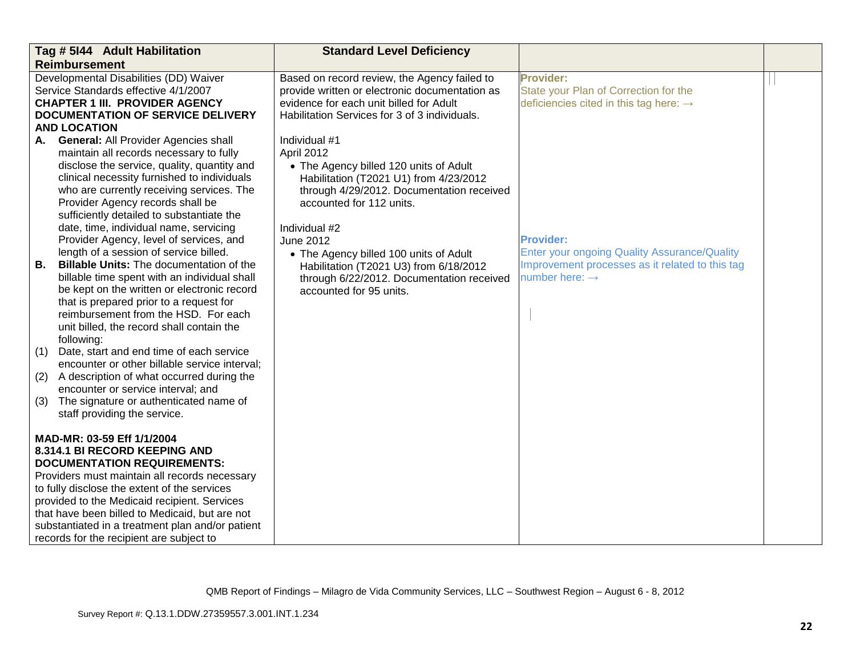| Tag # 5144 Adult Habilitation                                                                                                                                                                                                                                                                                                                                                                        |                                                                                                                                                                                                                                                                                                                                                                                                                                                                                                                                                                                                                                                | <b>Standard Level Deficiency</b>                                                                                                                                                                                                                                                                                                                                                          |                                                                                                                                                          |  |
|------------------------------------------------------------------------------------------------------------------------------------------------------------------------------------------------------------------------------------------------------------------------------------------------------------------------------------------------------------------------------------------------------|------------------------------------------------------------------------------------------------------------------------------------------------------------------------------------------------------------------------------------------------------------------------------------------------------------------------------------------------------------------------------------------------------------------------------------------------------------------------------------------------------------------------------------------------------------------------------------------------------------------------------------------------|-------------------------------------------------------------------------------------------------------------------------------------------------------------------------------------------------------------------------------------------------------------------------------------------------------------------------------------------------------------------------------------------|----------------------------------------------------------------------------------------------------------------------------------------------------------|--|
| <b>Reimbursement</b>                                                                                                                                                                                                                                                                                                                                                                                 |                                                                                                                                                                                                                                                                                                                                                                                                                                                                                                                                                                                                                                                |                                                                                                                                                                                                                                                                                                                                                                                           |                                                                                                                                                          |  |
| Developmental Disabilities (DD) Waiver<br>Service Standards effective 4/1/2007<br><b>CHAPTER 1 III. PROVIDER AGENCY</b><br><b>DOCUMENTATION OF SERVICE DELIVERY</b>                                                                                                                                                                                                                                  |                                                                                                                                                                                                                                                                                                                                                                                                                                                                                                                                                                                                                                                | Based on record review, the Agency failed to<br>provide written or electronic documentation as<br>evidence for each unit billed for Adult<br>Habilitation Services for 3 of 3 individuals.                                                                                                                                                                                                | <b>Provider:</b><br>State your Plan of Correction for the<br>deficiencies cited in this tag here: $\rightarrow$                                          |  |
| <b>AND LOCATION</b>                                                                                                                                                                                                                                                                                                                                                                                  |                                                                                                                                                                                                                                                                                                                                                                                                                                                                                                                                                                                                                                                |                                                                                                                                                                                                                                                                                                                                                                                           |                                                                                                                                                          |  |
| А.<br>В.                                                                                                                                                                                                                                                                                                                                                                                             | <b>General: All Provider Agencies shall</b><br>maintain all records necessary to fully<br>disclose the service, quality, quantity and<br>clinical necessity furnished to individuals<br>who are currently receiving services. The<br>Provider Agency records shall be<br>sufficiently detailed to substantiate the<br>date, time, individual name, servicing<br>Provider Agency, level of services, and<br>length of a session of service billed.<br><b>Billable Units: The documentation of the</b><br>billable time spent with an individual shall<br>be kept on the written or electronic record<br>that is prepared prior to a request for | Individual #1<br>April 2012<br>• The Agency billed 120 units of Adult<br>Habilitation (T2021 U1) from 4/23/2012<br>through 4/29/2012. Documentation received<br>accounted for 112 units.<br>Individual #2<br><b>June 2012</b><br>• The Agency billed 100 units of Adult<br>Habilitation (T2021 U3) from 6/18/2012<br>through 6/22/2012. Documentation received<br>accounted for 95 units. | <b>Provider:</b><br><b>Enter your ongoing Quality Assurance/Quality</b><br>Improvement processes as it related to this tag<br>number here: $\rightarrow$ |  |
| (1)<br>(2)<br>(3)                                                                                                                                                                                                                                                                                                                                                                                    | reimbursement from the HSD. For each<br>unit billed, the record shall contain the<br>following:<br>Date, start and end time of each service<br>encounter or other billable service interval;<br>A description of what occurred during the<br>encounter or service interval; and<br>The signature or authenticated name of<br>staff providing the service.                                                                                                                                                                                                                                                                                      |                                                                                                                                                                                                                                                                                                                                                                                           |                                                                                                                                                          |  |
| MAD-MR: 03-59 Eff 1/1/2004<br>8.314.1 BI RECORD KEEPING AND<br><b>DOCUMENTATION REQUIREMENTS:</b><br>Providers must maintain all records necessary<br>to fully disclose the extent of the services<br>provided to the Medicaid recipient. Services<br>that have been billed to Medicaid, but are not<br>substantiated in a treatment plan and/or patient<br>records for the recipient are subject to |                                                                                                                                                                                                                                                                                                                                                                                                                                                                                                                                                                                                                                                |                                                                                                                                                                                                                                                                                                                                                                                           |                                                                                                                                                          |  |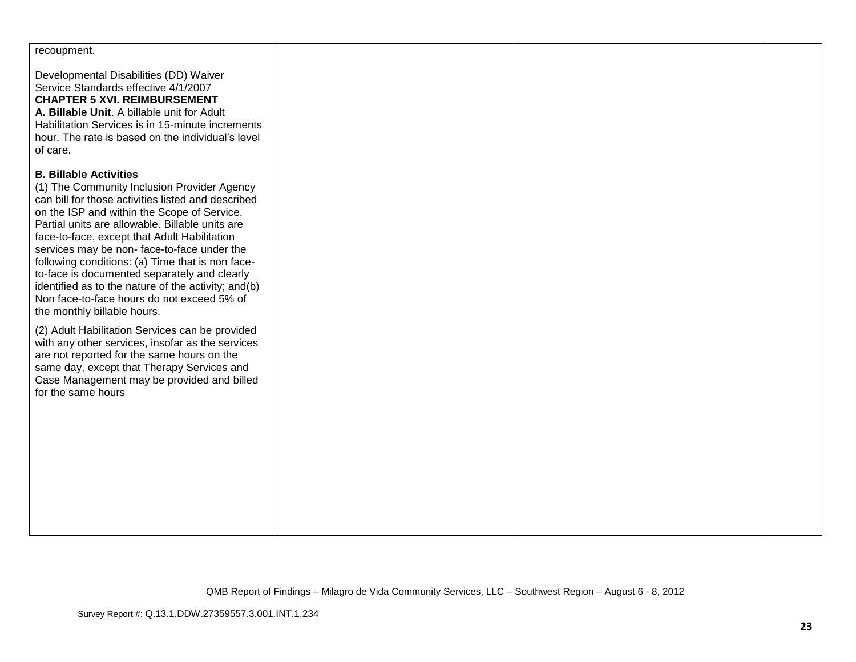| recoupment.                                                                                                                                                                                                                                                                                                                                                                                                                                                                                                                                                                                                                                                                                                                                                                                                                                       |  |  |
|---------------------------------------------------------------------------------------------------------------------------------------------------------------------------------------------------------------------------------------------------------------------------------------------------------------------------------------------------------------------------------------------------------------------------------------------------------------------------------------------------------------------------------------------------------------------------------------------------------------------------------------------------------------------------------------------------------------------------------------------------------------------------------------------------------------------------------------------------|--|--|
| Developmental Disabilities (DD) Waiver<br>Service Standards effective 4/1/2007<br><b>CHAPTER 5 XVI. REIMBURSEMENT</b><br>A. Billable Unit. A billable unit for Adult<br>Habilitation Services is in 15-minute increments<br>hour. The rate is based on the individual's level<br>of care.                                                                                                                                                                                                                                                                                                                                                                                                                                                                                                                                                         |  |  |
| <b>B. Billable Activities</b><br>(1) The Community Inclusion Provider Agency<br>can bill for those activities listed and described<br>on the ISP and within the Scope of Service.<br>Partial units are allowable. Billable units are<br>face-to-face, except that Adult Habilitation<br>services may be non-face-to-face under the<br>following conditions: (a) Time that is non face-<br>to-face is documented separately and clearly<br>identified as to the nature of the activity; and(b)<br>Non face-to-face hours do not exceed 5% of<br>the monthly billable hours.<br>(2) Adult Habilitation Services can be provided<br>with any other services, insofar as the services<br>are not reported for the same hours on the<br>same day, except that Therapy Services and<br>Case Management may be provided and billed<br>for the same hours |  |  |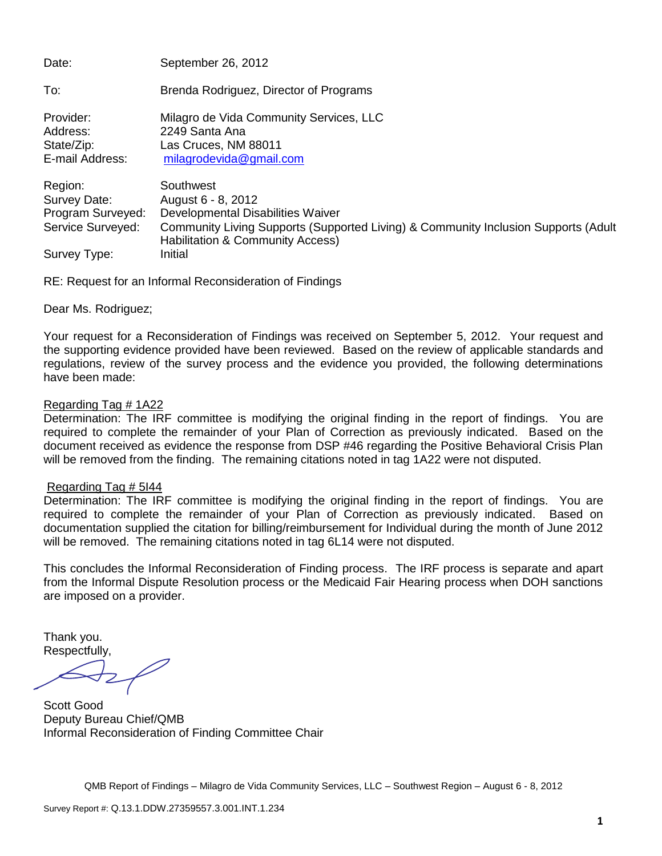Date: September 26, 2012 To: Brenda Rodriguez, Director of Programs Provider: Milagro de Vida Community Services, LLC Address: 2249 Santa Ana State/Zip: Las Cruces, NM 88011 E-mail Address: [milagrodevida@gmail.com](mailto:milagrodevida@gmail.com) Region: Southwest Survey Date: August 6 - 8, 2012 Program Surveyed: Developmental Disabilities Waiver Service Surveyed: Community Living Supports (Supported Living) & Community Inclusion Supports (Adult Habilitation & Community Access) Survey Type: Initial

RE: Request for an Informal Reconsideration of Findings

Dear Ms. Rodriguez;

Your request for a Reconsideration of Findings was received on September 5, 2012. Your request and the supporting evidence provided have been reviewed. Based on the review of applicable standards and regulations, review of the survey process and the evidence you provided, the following determinations have been made:

## Regarding Tag # 1A22

Determination: The IRF committee is modifying the original finding in the report of findings. You are required to complete the remainder of your Plan of Correction as previously indicated. Based on the document received as evidence the response from DSP #46 regarding the Positive Behavioral Crisis Plan will be removed from the finding. The remaining citations noted in tag 1A22 were not disputed.

### Regarding Tag # 5I44

Determination: The IRF committee is modifying the original finding in the report of findings. You are required to complete the remainder of your Plan of Correction as previously indicated. Based on documentation supplied the citation for billing/reimbursement for Individual during the month of June 2012 will be removed. The remaining citations noted in tag 6L14 were not disputed.

This concludes the Informal Reconsideration of Finding process. The IRF process is separate and apart from the Informal Dispute Resolution process or the Medicaid Fair Hearing process when DOH sanctions are imposed on a provider.

Thank you. Respectfully,

Scott Good Deputy Bureau Chief/QMB Informal Reconsideration of Finding Committee Chair